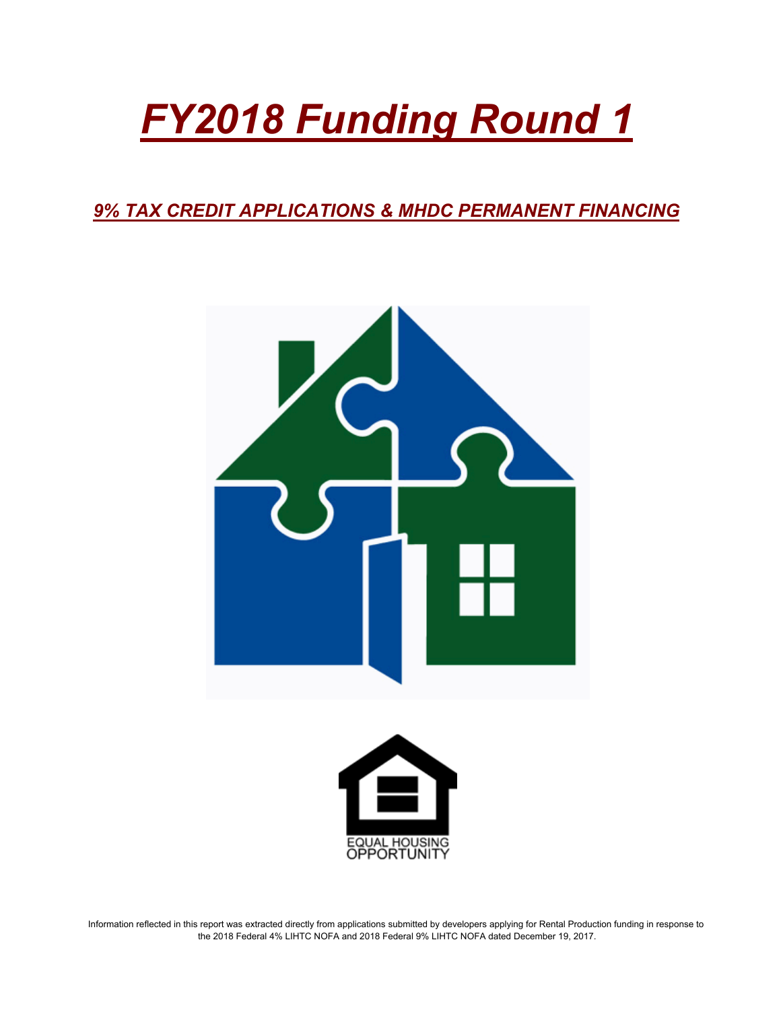# *FY2018 Funding Round 1*

*9% TAX CREDIT APPLICATIONS & MHDC PERMANENT FINANCING*





Information reflected in this report was extracted directly from applications submitted by developers applying for Rental Production funding in response to the 2018 Federal 4% LIHTC NOFA and 2018 Federal 9% LIHTC NOFA dated December 19, 2017.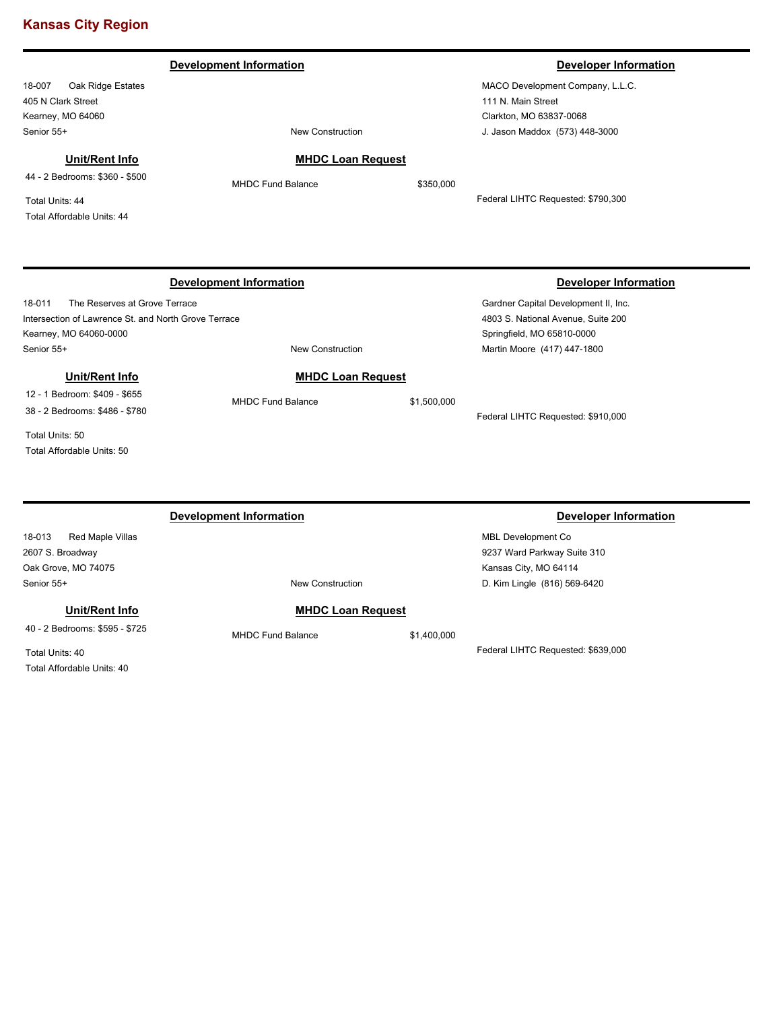|                                                                                                        | <b>Development Information</b> |             | <b>Developer Information</b>                                                                                                             |
|--------------------------------------------------------------------------------------------------------|--------------------------------|-------------|------------------------------------------------------------------------------------------------------------------------------------------|
| Oak Ridge Estates<br>18-007                                                                            |                                |             | MACO Development Company, L.L.C.                                                                                                         |
| 405 N Clark Street                                                                                     |                                |             | 111 N. Main Street                                                                                                                       |
| Kearney, MO 64060                                                                                      |                                |             | Clarkton, MO 63837-0068                                                                                                                  |
| Senior 55+                                                                                             | <b>New Construction</b>        |             | J. Jason Maddox (573) 448-3000                                                                                                           |
| Unit/Rent Info                                                                                         | <b>MHDC Loan Request</b>       |             |                                                                                                                                          |
| 44 - 2 Bedrooms: \$360 - \$500                                                                         | <b>MHDC Fund Balance</b>       | \$350,000   |                                                                                                                                          |
| Total Units: 44                                                                                        |                                |             | Federal LIHTC Requested: \$790,300                                                                                                       |
| Total Affordable Units: 44                                                                             |                                |             |                                                                                                                                          |
|                                                                                                        | <b>Development Information</b> |             |                                                                                                                                          |
| The Reserves at Grove Terrace                                                                          |                                |             | <b>Developer Information</b><br>Gardner Capital Development II, Inc.<br>4803 S. National Avenue, Suite 200<br>Springfield, MO 65810-0000 |
| 18-011<br>Intersection of Lawrence St. and North Grove Terrace<br>Kearney, MO 64060-0000<br>Senior 55+ | <b>New Construction</b>        |             | Martin Moore (417) 447-1800                                                                                                              |
| Unit/Rent Info                                                                                         | <b>MHDC Loan Request</b>       |             |                                                                                                                                          |
| 12 - 1 Bedroom: \$409 - \$655<br>38 - 2 Bedrooms: \$486 - \$780                                        | <b>MHDC Fund Balance</b>       | \$1,500,000 |                                                                                                                                          |
| Total Units: 50                                                                                        |                                |             | Federal LIHTC Requested: \$910,000                                                                                                       |

# 18-013 Red Maple Villas 2607 S. Broadway Oak Grove, MO 74075

**Unit/Rent Info**

40 - 2 Bedrooms: \$595 - \$725

Total Units: 40 Total Affordable Units: 40

Senior 55+ New Construction

# **MHDC Loan Request**

MHDC Fund Balance \$1,400,000

# **Development Information Developer Information**

MBL Development Co 9237 Ward Parkway Suite 310 Kansas City, MO 64114 D. Kim Lingle (816) 569-6420

Federal LIHTC Requested: \$639,000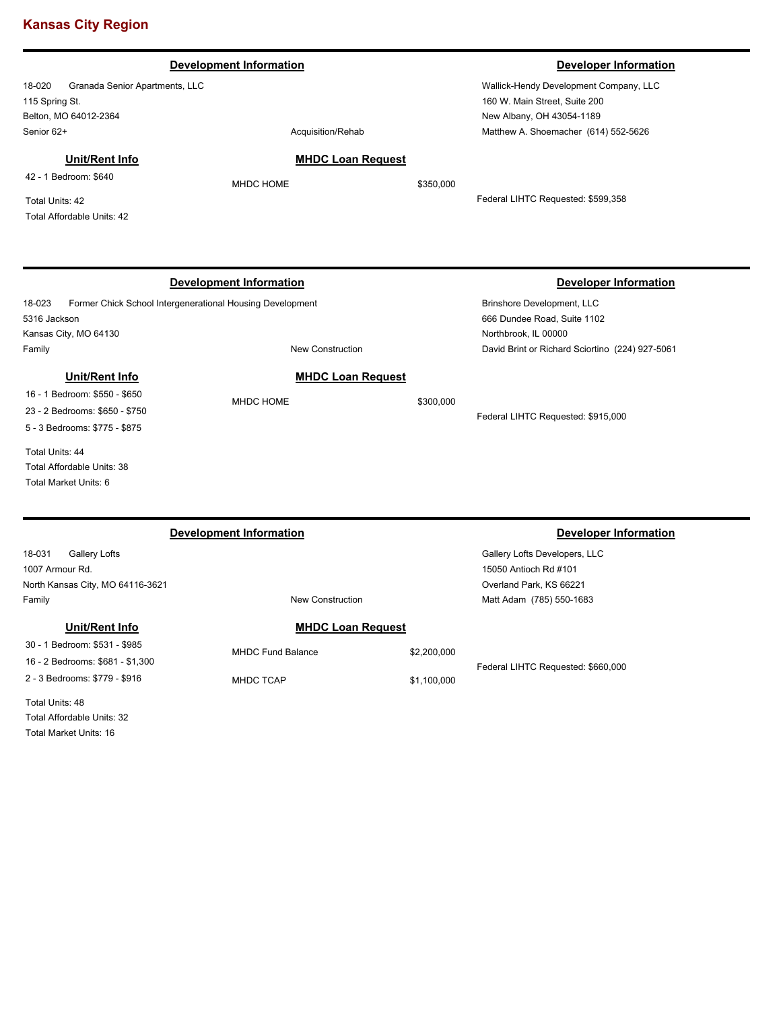|                                                                                                                                                                     | <b>Development Information</b>               |                            | <b>Developer Information</b>                                                                                                                 |
|---------------------------------------------------------------------------------------------------------------------------------------------------------------------|----------------------------------------------|----------------------------|----------------------------------------------------------------------------------------------------------------------------------------------|
| 18-020<br>Granada Senior Apartments, LLC<br>115 Spring St.<br>Belton, MO 64012-2364<br>Senior 62+                                                                   | Acquisition/Rehab                            |                            | Wallick-Hendy Development Company, LLC<br>160 W. Main Street, Suite 200<br>New Albany, OH 43054-1189<br>Matthew A. Shoemacher (614) 552-5626 |
| Unit/Rent Info<br>42 - 1 Bedroom: \$640<br>Total Units: 42<br>Total Affordable Units: 42                                                                            | <b>MHDC Loan Request</b><br>MHDC HOME        | \$350,000                  | Federal LIHTC Requested: \$599,358                                                                                                           |
| Former Chick School Intergenerational Housing Development<br>18-023<br>5316 Jackson                                                                                 | <b>Development Information</b>               |                            | <b>Developer Information</b><br>Brinshore Development, LLC<br>666 Dundee Road, Suite 1102                                                    |
| Kansas City, MO 64130<br>Family                                                                                                                                     | <b>New Construction</b>                      |                            | Northbrook, IL 00000<br>David Brint or Richard Sciortino (224) 927-5061                                                                      |
| Unit/Rent Info<br>16 - 1 Bedroom: \$550 - \$650<br>23 - 2 Bedrooms: \$650 - \$750<br>5 - 3 Bedrooms: \$775 - \$875<br>Total Units: 44<br>Total Affordable Units: 38 | <b>MHDC Loan Request</b><br>MHDC HOME        | \$300,000                  | Federal LIHTC Requested: \$915,000                                                                                                           |
| <b>Total Market Units: 6</b>                                                                                                                                        | <b>Development Information</b>               |                            | <b>Developer Information</b>                                                                                                                 |
| 18-031<br>Gallery Lofts<br>1007 Armour Rd.<br>North Kansas City, MO 64116-3621<br>Family                                                                            | New Construction                             |                            | Gallery Lofts Developers, LLC<br>15050 Antioch Rd #101<br>Overland Park, KS 66221<br>Matt Adam (785) 550-1683                                |
| Unit/Rent Info                                                                                                                                                      | <b>MHDC Loan Request</b>                     |                            |                                                                                                                                              |
| 30 - 1 Bedroom: \$531 - \$985<br>16 - 2 Bedrooms: \$681 - \$1,300<br>2 - 3 Bedrooms: \$779 - \$916                                                                  | <b>MHDC Fund Balance</b><br><b>MHDC TCAP</b> | \$2,200,000<br>\$1,100,000 | Federal LIHTC Requested: \$660,000                                                                                                           |
| Total Units: 48                                                                                                                                                     |                                              |                            |                                                                                                                                              |

Total Affordable Units: 32 Total Market Units: 16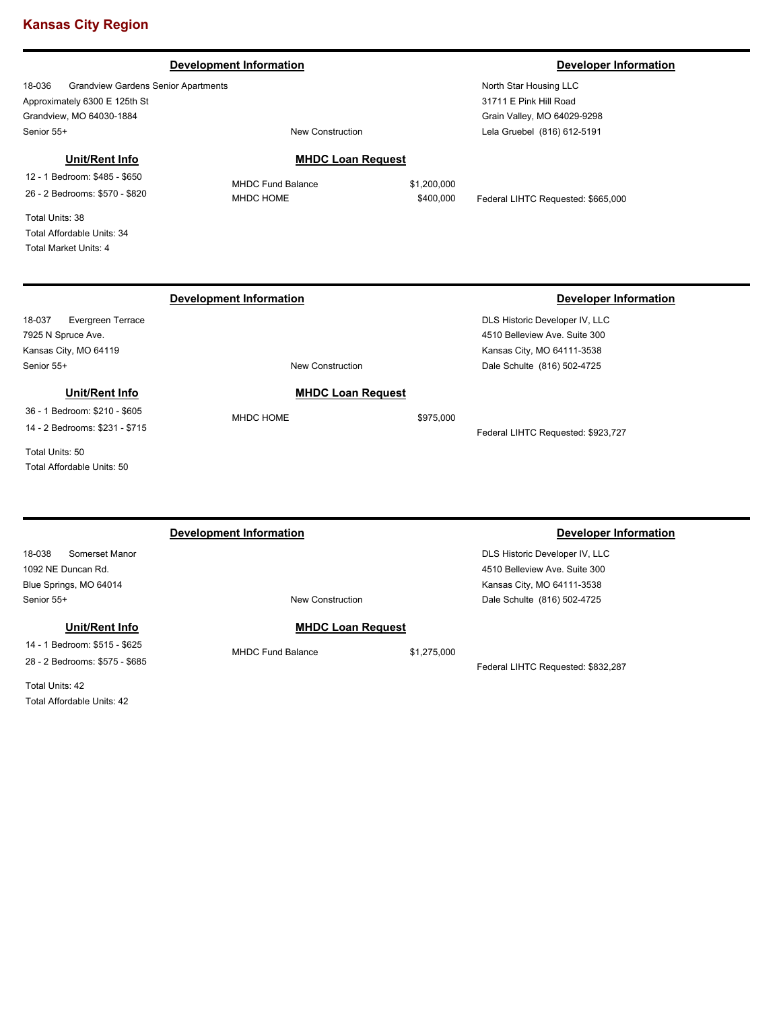### **Development Information Developer Information Developer Information**

18-036 Grandview Gardens Senior Apartments Approximately 6300 E 125th St Grandview, MO 64030-1884 Senior 55+ New Construction

### **Unit/Rent Info**

12 - 1 Bedroom: \$485 - \$650 26 - 2 Bedrooms: \$570 - \$820

Total Units: 38 Total Affordable Units: 34 Total Market Units: 4

# **MHDC Loan Request**

MHDC Fund Balance \$1,200,000

**Development Information Developer Information** 

MHDC HOME  $$400,000$  Federal LIHTC Requested: \$665,000

## 18-037 Evergreen Terrace 7925 N Spruce Ave. Kansas City, MO 64119 DLS Historic Developer IV, LLC 4510 Belleview Ave. Suite 300 Kansas City, MO 64111-3538 Senior 55+ New Construction Dale Schulte (816) 502-4725 **MHDC Loan Request** MHDC HOME \$975,000 Federal LIHTC Requested: \$923,727 **Unit/Rent Info** 36 - 1 Bedroom: \$210 - \$605 14 - 2 Bedrooms: \$231 - \$715 Total Units: 50 Total Affordable Units: 50

|                                | <b>Development Information</b> |             | Developer Information              |
|--------------------------------|--------------------------------|-------------|------------------------------------|
| 18-038<br>Somerset Manor       |                                |             | DLS Historic Developer IV, LLC     |
| 1092 NE Duncan Rd.             |                                |             | 4510 Belleview Ave, Suite 300      |
| Blue Springs, MO 64014         |                                |             | Kansas City, MO 64111-3538         |
| Senior 55+                     | New Construction               |             | Dale Schulte (816) 502-4725        |
| Unit/Rent Info                 | <b>MHDC Loan Request</b>       |             |                                    |
| 14 - 1 Bedroom: \$515 - \$625  | <b>MHDC Fund Balance</b>       | \$1,275,000 |                                    |
| 28 - 2 Bedrooms: \$575 - \$685 |                                |             | Federal LIHTC Requested: \$832,287 |

Total Units: 42 Total Affordable Units: 42

North Star Housing LLC 31711 E Pink Hill Road Grain Valley, MO 64029-9298 Lela Gruebel (816) 612-5191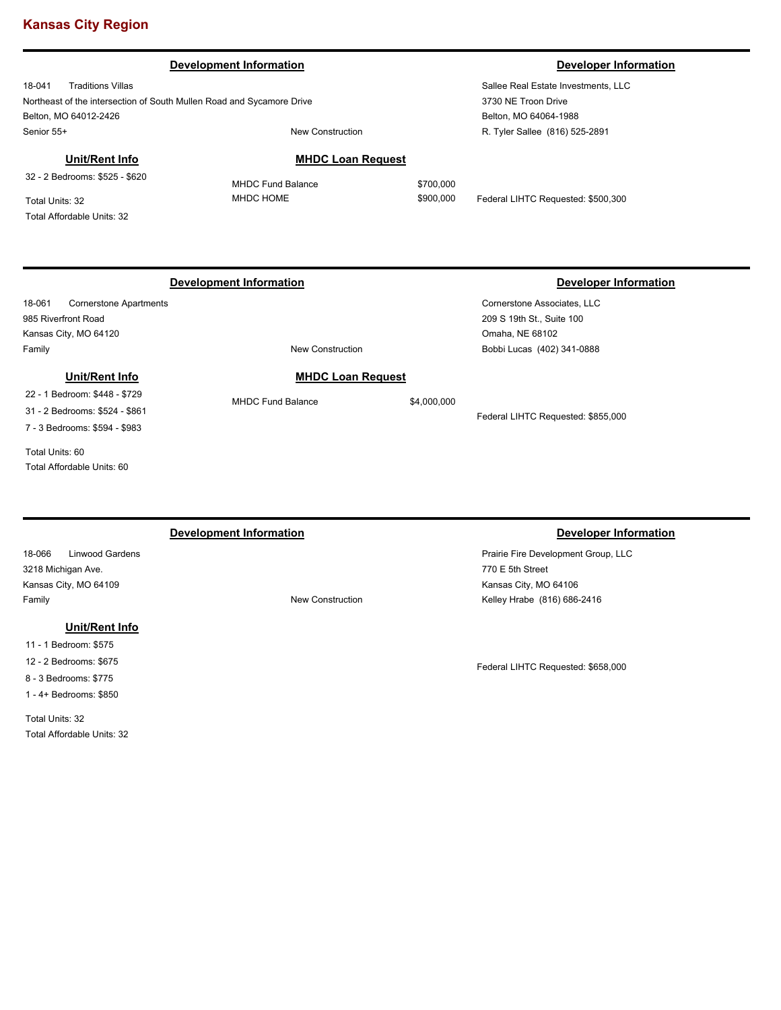### **Development Information Developer Information**

18-041 Traditions Villas Northeast of the intersection of South Mullen Road and Sycamore Drive Belton, MO 64012-2426 Senior 55+ New Construction

Sallee Real Estate Investments, LLC 3730 NE Troon Drive Belton, MO 64064-1988 R. Tyler Sallee (816) 525-2891

# **Unit/Rent Info**

32 - 2 Bedrooms: \$525 - \$620

Total Units: 32 Total Affordable Units: 32

18-061 Cornerstone Apartments 985 Riverfront Road Kansas City, MO 64120 Family **New Construction** 

# **Unit/Rent Info**

22 - 1 Bedroom: \$448 - \$729 31 - 2 Bedrooms: \$524 - \$861

7 - 3 Bedrooms: \$594 - \$983

Total Units: 60 Total Affordable Units: 60

18-066 Linwood Gardens 3218 Michigan Ave. Kansas City, MO 64109 Family **Family Family New Construction** 

### **Unit/Rent Info**

11 - 1 Bedroom: \$575 12 - 2 Bedrooms: \$675 8 - 3 Bedrooms: \$775 1 - 4+ Bedrooms: \$850

Total Units: 32 Total Affordable Units: 32 MHDC Fund Balance \$700,000

**MHDC Loan Request**

MHDC HOME  $$900,000$  Federal LIHTC Requested: \$500,300

# **Development Information Developer Information**

Cornerstone Associates, LLC 209 S 19th St., Suite 100 Omaha, NE 68102 Bobbi Lucas (402) 341-0888

Federal LIHTC Requested: \$855,000

# **Development Information Developer Information**

Prairie Fire Development Group, LLC 770 E 5th Street Kansas City, MO 64106 Kelley Hrabe (816) 686-2416

Federal LIHTC Requested: \$658,000

**MHDC Loan Request**

MHDC Fund Balance \$4,000,000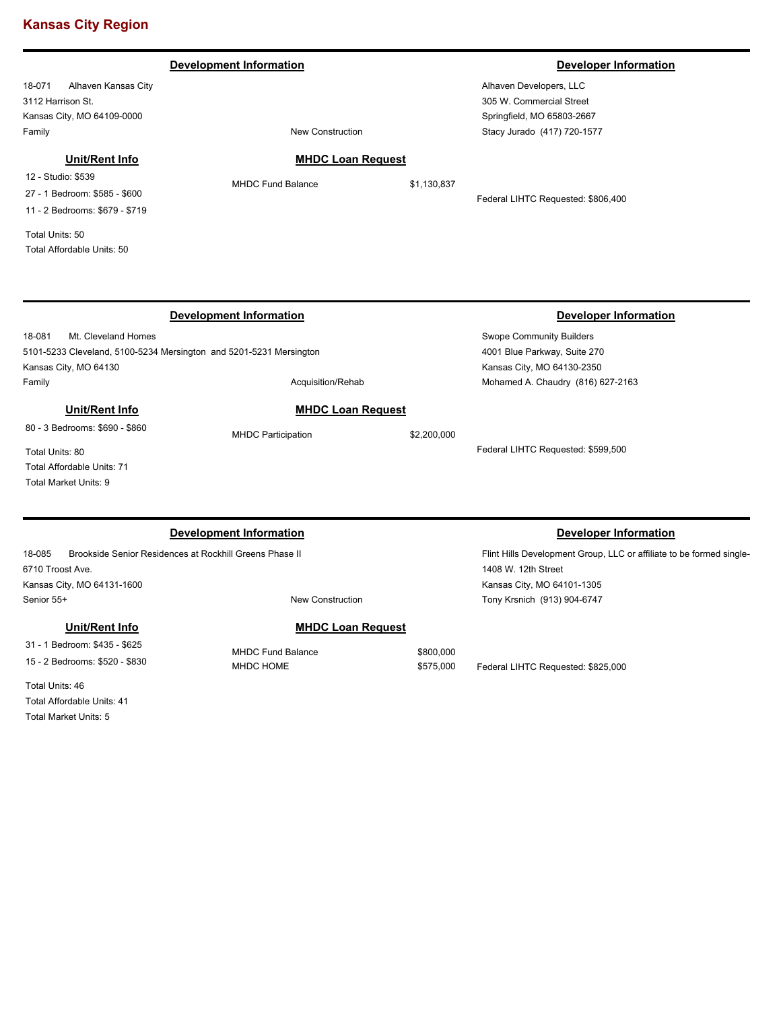# **Development Information Developer Information**

18-071 Alhaven Kansas City 3112 Harrison St. Kansas City, MO 64109-0000 Family **Family New Construction** 

Alhaven Developers, LLC 305 W. Commercial Street Springfield, MO 65803-2667 Stacy Jurado (417) 720-1577

# **Unit/Rent Info**

12 - Studio: \$539 27 - 1 Bedroom: \$585 - \$600 11 - 2 Bedrooms: \$679 - \$719

Total Units: 50 Total Affordable Units: 50

# **MHDC Loan Request**

MHDC Fund Balance \$1,130,837

Federal LIHTC Requested: \$806,400

|                                                                    | <b>Development Information</b> |                                 | <b>Developer Information</b>                                         |
|--------------------------------------------------------------------|--------------------------------|---------------------------------|----------------------------------------------------------------------|
| 18-081<br>Mt. Cleveland Homes                                      |                                | <b>Swope Community Builders</b> |                                                                      |
| 5101-5233 Cleveland, 5100-5234 Mersington and 5201-5231 Mersington |                                |                                 | 4001 Blue Parkway, Suite 270                                         |
| Kansas City, MO 64130                                              |                                |                                 | Kansas City, MO 64130-2350                                           |
| Family                                                             | Acquisition/Rehab              |                                 | Mohamed A. Chaudry (816) 627-2163                                    |
| Unit/Rent Info                                                     | <b>MHDC Loan Request</b>       |                                 |                                                                      |
| 80 - 3 Bedrooms: \$690 - \$860                                     | <b>MHDC Participation</b>      | \$2,200,000                     |                                                                      |
| Total Units: 80                                                    |                                |                                 | Federal LIHTC Requested: \$599,500                                   |
| Total Affordable Units: 71                                         |                                |                                 |                                                                      |
| <b>Total Market Units: 9</b>                                       |                                |                                 |                                                                      |
|                                                                    |                                |                                 |                                                                      |
|                                                                    | <b>Development Information</b> |                                 | <b>Developer Information</b>                                         |
| 18-085<br>Brookside Senior Residences at Rockhill Greens Phase II  |                                |                                 | Flint Hills Development Group, LLC or affiliate to be formed single- |
| 6710 Troost Ave.                                                   |                                |                                 | 1408 W. 12th Street                                                  |
| Kansas City, MO 64131-1600                                         |                                |                                 | Kansas City, MO 64101-1305                                           |
| Senior 55+                                                         | <b>New Construction</b>        |                                 | Tony Krsnich (913) 904-6747                                          |
| Unit/Rent Info                                                     | <b>MHDC Loan Request</b>       |                                 |                                                                      |
| 31 - 1 Bedroom: \$435 - \$625                                      | <b>MHDC Fund Balance</b>       | \$800,000                       |                                                                      |
|                                                                    |                                |                                 |                                                                      |

Total Units: 46 Total Affordable Units: 41

Total Market Units: 5

MHDC HOME  $$575,000$  Federal LIHTC Requested: \$825,000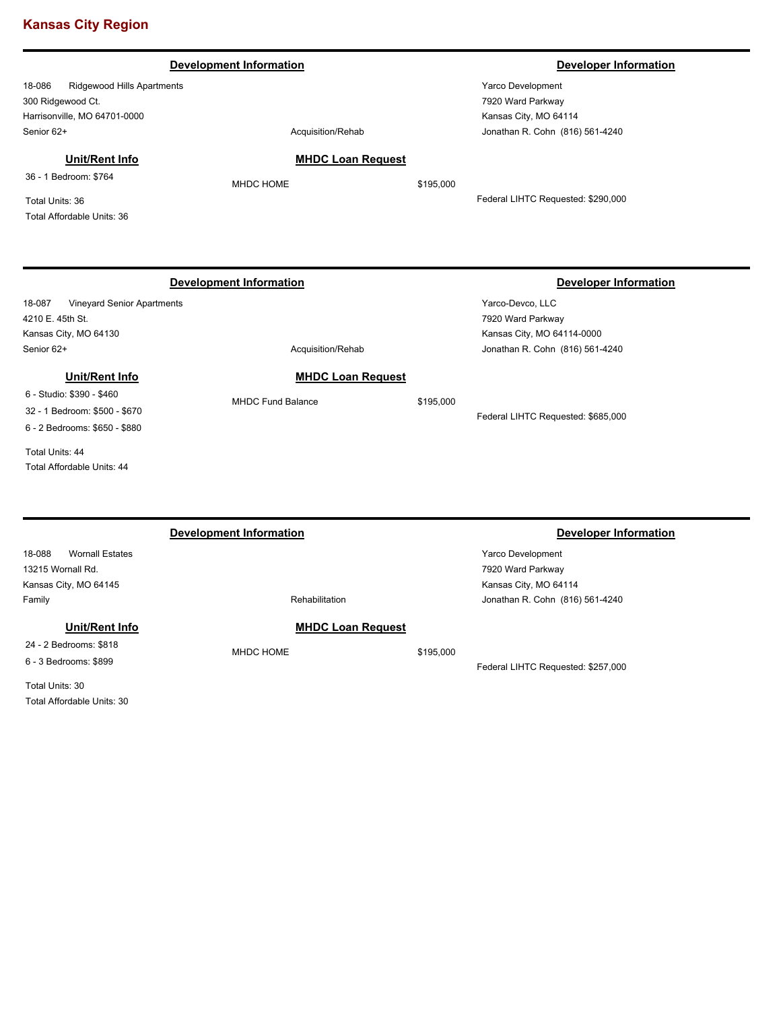|                                                                                                                                                                                                            | <b>Development Information</b>                                    |           | <b>Developer Information</b>                                                                                                             |
|------------------------------------------------------------------------------------------------------------------------------------------------------------------------------------------------------------|-------------------------------------------------------------------|-----------|------------------------------------------------------------------------------------------------------------------------------------------|
| 18-086<br>Ridgewood Hills Apartments<br>300 Ridgewood Ct.<br>Harrisonville, MO 64701-0000<br>Senior 62+<br><b>Unit/Rent Info</b><br>36 - 1 Bedroom: \$764<br>Total Units: 36<br>Total Affordable Units: 36 | Acquisition/Rehab<br><b>MHDC Loan Request</b><br><b>MHDC HOME</b> | \$195,000 | Yarco Development<br>7920 Ward Parkway<br>Kansas City, MO 64114<br>Jonathan R. Cohn (816) 561-4240<br>Federal LIHTC Requested: \$290,000 |
| 18-087<br>Vineyard Senior Apartments<br>4210 E. 45th St.<br>Kansas City, MO 64130<br>Senior 62+                                                                                                            | <b>Development Information</b><br>Acquisition/Rehab               |           | <b>Developer Information</b><br>Yarco-Devco, LLC<br>7920 Ward Parkway<br>Kansas City, MO 64114-0000<br>Jonathan R. Cohn (816) 561-4240   |
| <b>Unit/Rent Info</b><br>6 - Studio: \$390 - \$460<br>32 - 1 Bedroom: \$500 - \$670<br>6 - 2 Bedrooms: \$650 - \$880<br>Total Units: 44<br>Total Affordable Units: 44                                      | <b>MHDC Loan Request</b><br><b>MHDC Fund Balance</b>              | \$195,000 | Federal LIHTC Requested: \$685,000                                                                                                       |
| <b>Wornall Estates</b><br>18-088                                                                                                                                                                           | <b>Development Information</b>                                    |           | <b>Developer Information</b><br>Yarco Development                                                                                        |

18-088 Wornall Estates 13215 Wornall Rd. Kansas City, MO 64145 Family **Family Rehabilitation** 

**Unit/Rent Info** 24 - 2 Bedrooms: \$818

6 - 3 Bedrooms: \$899

Total Units: 30 Total Affordable Units: 30

# **MHDC Loan Request**

MHDC HOME \$195,000

Federal LIHTC Requested: \$257,000

Jonathan R. Cohn (816) 561-4240

7920 Ward Parkway Kansas City, MO 64114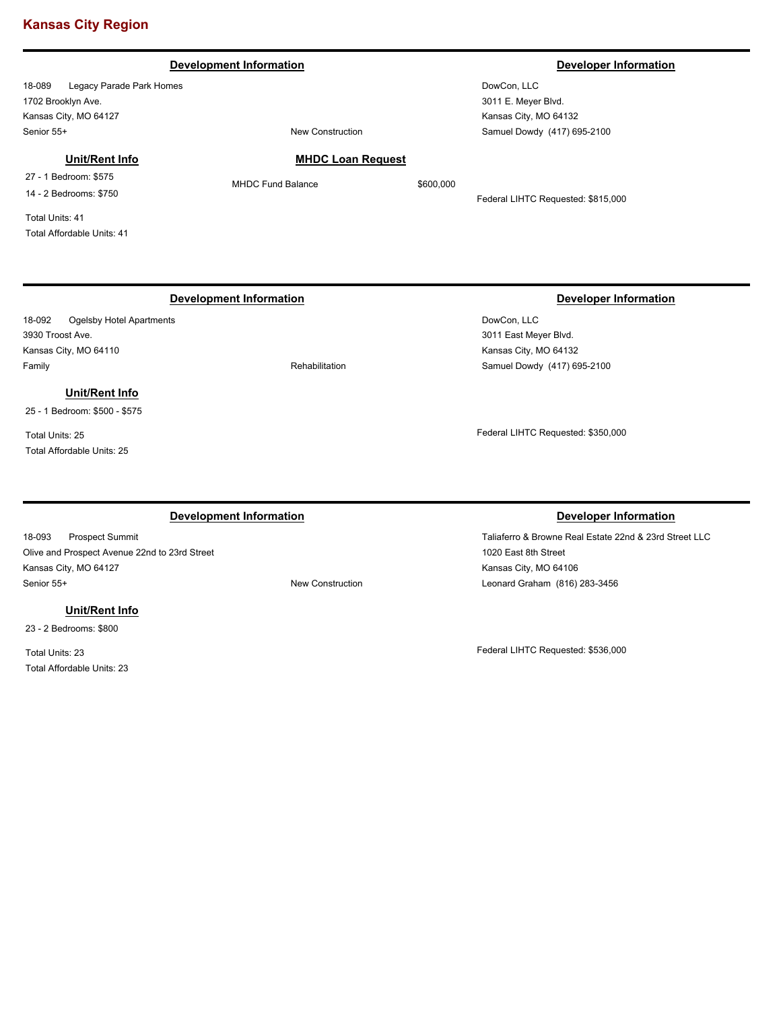### **Development Information Developer Information Developer Information**

18-089 Legacy Parade Park Homes 1702 Brooklyn Ave. Kansas City, MO 64127 Senior 55+ New Construction

### **Unit/Rent Info**

27 - 1 Bedroom: \$575 14 - 2 Bedrooms: \$750

Total Units: 41 Total Affordable Units: 41

# **Development Information Developer Information**

18-092 Ogelsby Hotel Apartments 3930 Troost Ave. Kansas City, MO 64110 Family **Family Rehabilitation** 

# **Unit/Rent Info**

25 - 1 Bedroom: \$500 - \$575

Total Units: 25 Total Affordable Units: 25

### **Development Information Developer Information**

18-093 Prospect Summit Olive and Prospect Avenue 22nd to 23rd Street Kansas City, MO 64127 Senior 55+ New Construction

### **Unit/Rent Info**

23 - 2 Bedrooms: \$800

Total Units: 23 Total Affordable Units: 23

# **MHDC Loan Request**

MHDC Fund Balance \$600,000

Federal LIHTC Requested: \$815,000

DowCon, LLC 3011 East Meyer Blvd. Kansas City, MO 64132 Samuel Dowdy (417) 695-2100

Federal LIHTC Requested: \$350,000

Taliaferro & Browne Real Estate 22nd & 23rd Street LLC 1020 East 8th Street Kansas City, MO 64106 Leonard Graham (816) 283-3456

Federal LIHTC Requested: \$536,000

DowCon, LLC 3011 E. Meyer Blvd. Kansas City, MO 64132 Samuel Dowdy (417) 695-2100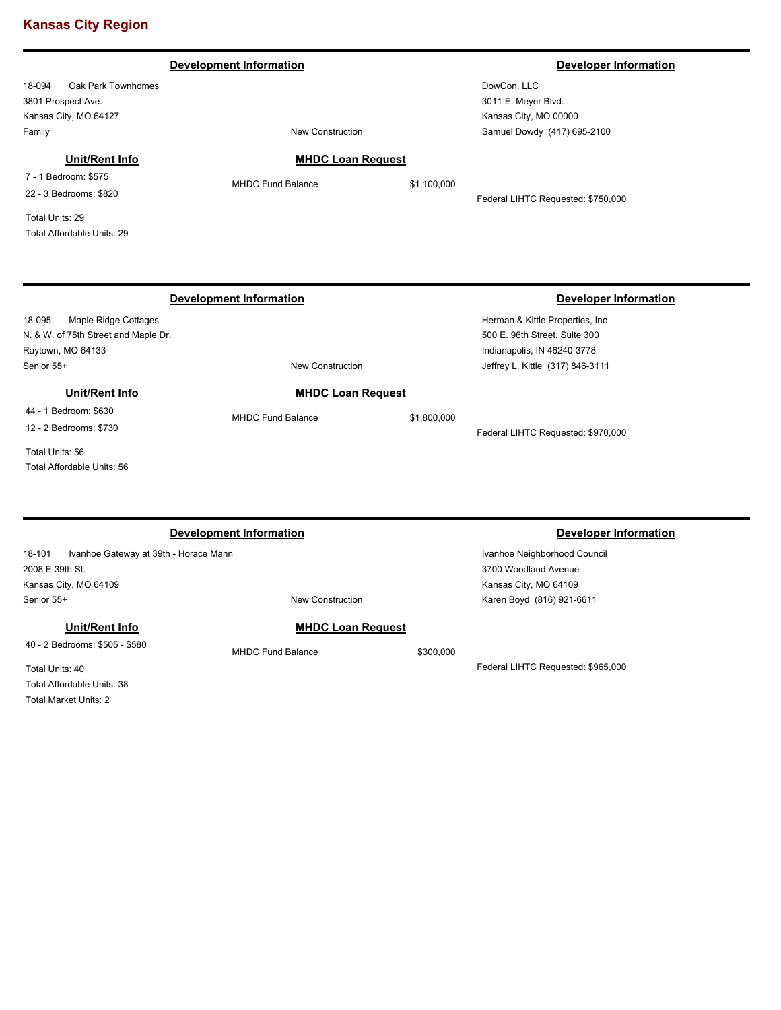### **Development Information Developer Information Developer Information**

18-094 Oak Park Townhomes 3801 Prospect Ave. Kansas City, MO 64127 Family **Family Family New Construction** 

# **Unit/Rent Info**

7 - 1 Bedroom: \$575 22 - 3 Bedrooms: \$820

Total Units: 29 Total Affordable Units: 29

# **MHDC Loan Request**

Federal LIHTC Requested: \$750,000

### 18-095 Maple Ridge Cottages N. & W. of 75th Street and Maple Dr. Raytown, MO 64133 Herman & Kittle Properties, Inc 500 E. 96th Street, Suite 300 Indianapolis, IN 46240-3778 Senior 55+ New Construction **Development Information Developer Information** Jeffrey L. Kittle (317) 846-3111 **MHDC Loan Request** MHDC Fund Balance \$1,800,000 Federal LIHTC Requested: \$970,000 **Unit/Rent Info** 44 - 1 Bedroom: \$630 12 - 2 Bedrooms: \$730 Total Units: 56 Total Affordable Units: 56

|                                                 | Development Information  |           | Developer Information              |
|-------------------------------------------------|--------------------------|-----------|------------------------------------|
| 18-101<br>Ivanhoe Gateway at 39th - Horace Mann |                          |           | Ivanhoe Neighborhood Council       |
| 2008 E 39th St.                                 |                          |           | 3700 Woodland Avenue               |
| Kansas City, MO 64109                           |                          |           | Kansas City, MO 64109              |
| Senior 55+                                      | <b>New Construction</b>  |           | Karen Boyd (816) 921-6611          |
| Unit/Rent Info                                  | <b>MHDC Loan Request</b> |           |                                    |
| 40 - 2 Bedrooms: \$505 - \$580                  | <b>MHDC Fund Balance</b> | \$300,000 |                                    |
| Total Units: 40                                 |                          |           | Federal LIHTC Requested: \$965,000 |
| Total Affordable Linite: 38                     |                          |           |                                    |

al Affordable Units: 38

Total Market Units: 2

# MHDC Fund Balance \$1,100,000

DowCon, LLC 3011 E. Meyer Blvd. Kansas City, MO 00000 Samuel Dowdy (417) 695-2100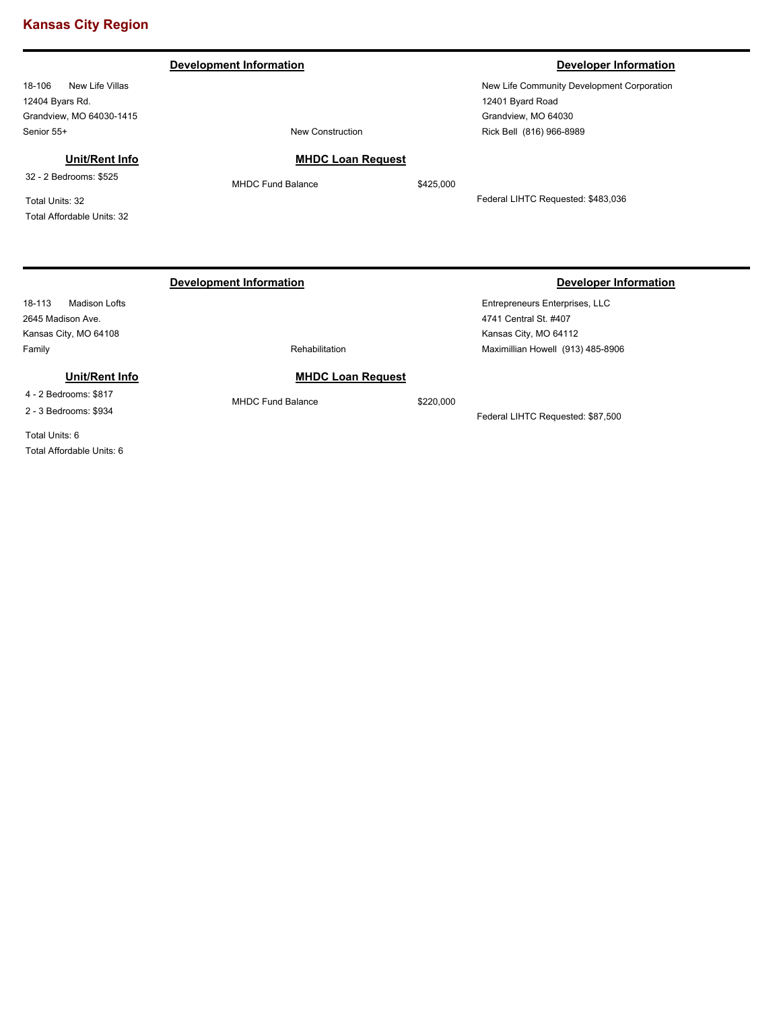18-106 New Life Villas 12404 Byars Rd. Grandview, MO 64030-1415 Senior 55+ New Construction

# **Development Information Developer Information**

New Life Community Development Corporation 12401 Byard Road Grandview, MO 64030 Rick Bell (816) 966-8989

**Unit/Rent Info**

32 - 2 Bedrooms: \$525

Total Units: 32 Total Affordable Units: 32

# **Development Information Developer Information**

18-113 Madison Lofts 2645 Madison Ave. Kansas City, MO 64108 Family **Family Rehabilitation** 

### **Unit/Rent Info**

4 - 2 Bedrooms: \$817

2 - 3 Bedrooms: \$934

Total Units: 6 Total Affordable Units: 6

# **MHDC Loan Request**

MHDC Fund Balance \$425,000

Federal LIHTC Requested: \$483,036

# Entrepreneurs Enterprises, LLC 4741 Central St. #407 Kansas City, MO 64112

# **MHDC Loan Request**

MHDC Fund Balance \$220,000

Federal LIHTC Requested: \$87,500

Maximillian Howell (913) 485-8906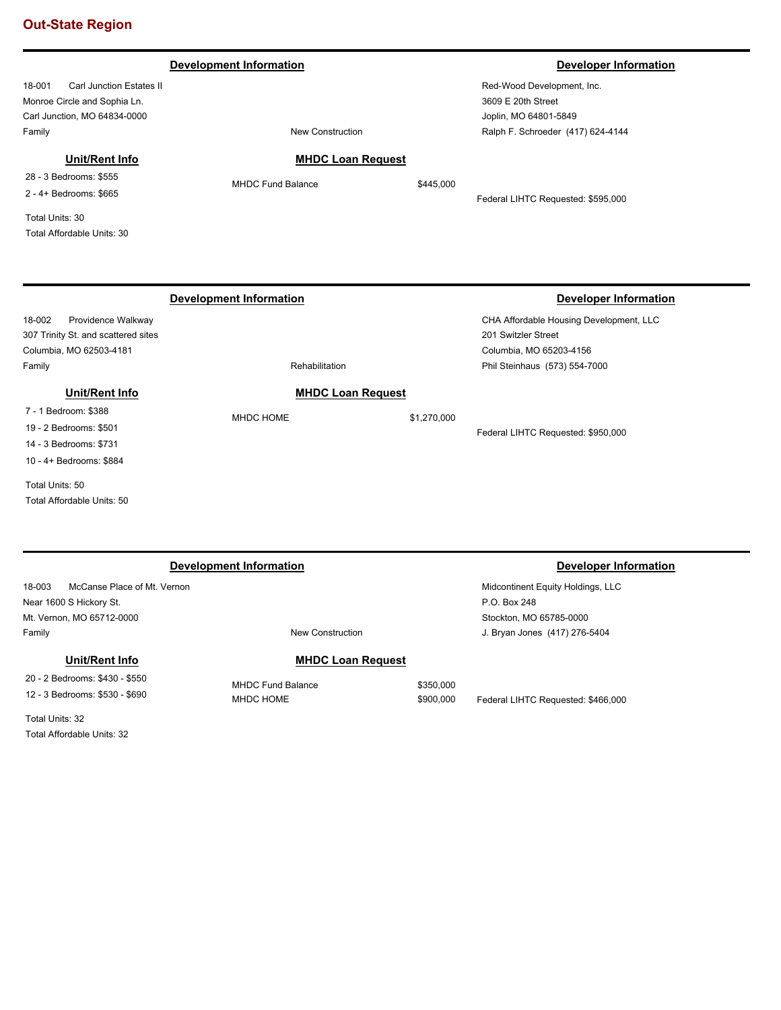### 18-001 Carl Junction Estates II Monroe Circle and Sophia Ln. Carl Junction, MO 64834-0000 Red-Wood Development, Inc. 3609 E 20th Street Joplin, MO 64801-5849 Family **Family Family New Construction Development Information Developer Information Developer Information** Ralph F. Schroeder (417) 624-4144 **MHDC Loan Request** MHDC Fund Balance \$445,000 Federal LIHTC Requested: \$595,000 **Unit/Rent Info** 28 - 3 Bedrooms: \$555 2 - 4+ Bedrooms: \$665 Total Units: 30 Total Affordable Units: 30 18-002 Providence Walkway 307 Trinity St. and scattered sites Columbia, MO 62503-4181 CHA Affordable Housing Development, LLC 201 Switzler Street Columbia, MO 65203-4156 Family **Family Rehabilitation Development Information Developer Information** Phil Steinhaus (573) 554-7000 **MHDC Loan Request** MHDC HOME \$1,270,000 Federal LIHTC Requested: \$950,000 **Unit/Rent Info** 7 - 1 Bedroom: \$388 19 - 2 Bedrooms: \$501 14 - 3 Bedrooms: \$731 10 - 4+ Bedrooms: \$884 Total Units: 50 Total Affordable Units: 50

| <b>Development Information</b>                                   |                                       |                        | <b>Developer Information</b>                      |
|------------------------------------------------------------------|---------------------------------------|------------------------|---------------------------------------------------|
| McCanse Place of Mt. Vernon<br>18-003                            |                                       |                        | Midcontinent Equity Holdings, LLC<br>P.O. Box 248 |
| Near 1600 S Hickory St.<br>Mt. Vernon, MO 65712-0000             |                                       |                        | Stockton, MO 65785-0000                           |
| Family                                                           | New Construction                      |                        | J. Bryan Jones (417) 276-5404                     |
| Unit/Rent Info                                                   | <b>MHDC Loan Request</b>              |                        |                                                   |
| 20 - 2 Bedrooms: \$430 - \$550<br>12 - 3 Bedrooms: \$530 - \$690 | <b>MHDC Fund Balance</b><br>MHDC HOME | \$350,000<br>\$900,000 | Federal LIHTC Requested: \$466,000                |
| _                                                                |                                       |                        |                                                   |

Total Units: 32 Total Affordable Units: 32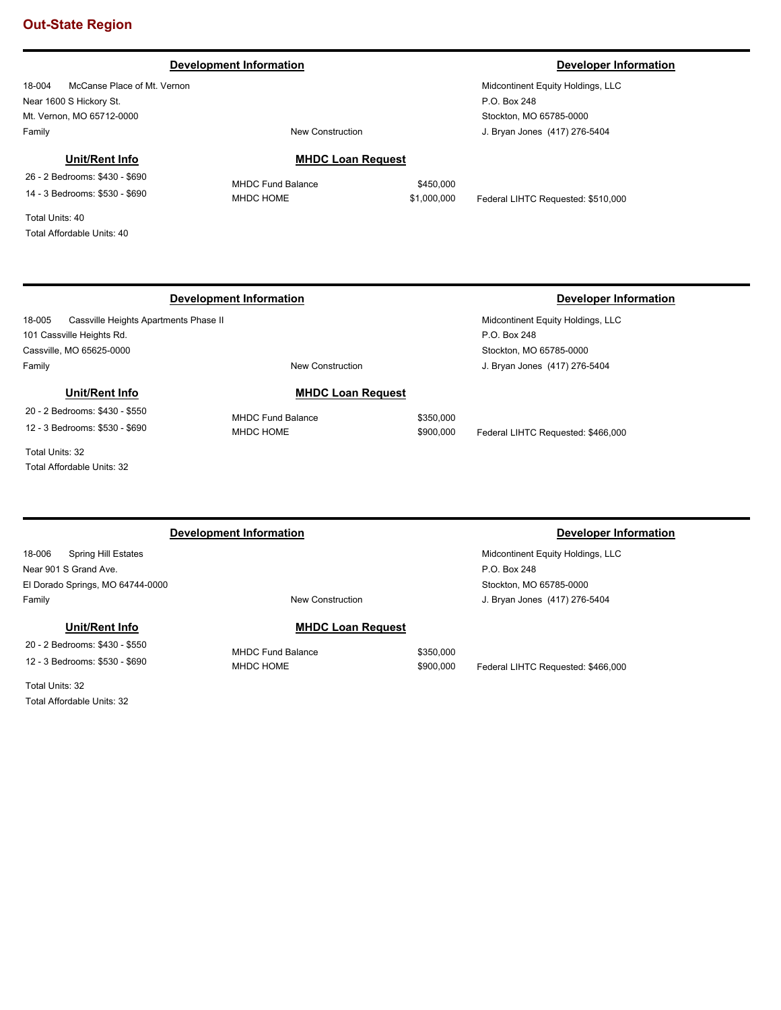## **Development Information Developer Information**

18-004 McCanse Place of Mt. Vernon Near 1600 S Hickory St. Mt. Vernon, MO 65712-0000 Family **Family Family New Construction** 

### **Unit/Rent Info**

26 - 2 Bedrooms: \$430 - \$690 14 - 3 Bedrooms: \$530 - \$690

Total Units: 40 Total Affordable Units: 40

## **MHDC Loan Request**

MHDC HOME  $$1,000,000$  Federal LIHTC Requested: \$510,000

Midcontinent Equity Holdings, LLC

# **Development Information Developer Information**

18-005 Cassville Heights Apartments Phase II 101 Cassville Heights Rd. Cassville, MO 65625-0000 Family **Family New Construction** 

**MHDC Loan Request**

# **Unit/Rent Info**

20 - 2 Bedrooms: \$430 - \$550 12 - 3 Bedrooms: \$530 - \$690

Total Units: 32 Total Affordable Units: 32

# **Development Information Developer Information**

18-006 Spring Hill Estates Near 901 S Grand Ave. El Dorado Springs, MO 64744-0000 Family **Family Family New Construction** 

### **Unit/Rent Info**

20 - 2 Bedrooms: \$430 - \$550 12 - 3 Bedrooms: \$530 - \$690

Total Units: 32 Total Affordable Units: 32

# **MHDC Loan Request**

MHDC Fund Balance \$350,000

MHDC HOME \$900,000 Federal LIHTC Requested: \$466,000

Midcontinent Equity Holdings, LLC P.O. Box 248 Stockton, MO 65785-0000 J. Bryan Jones (417) 276-5404

MHDC Fund Balance \$350,000 MHDC HOME  $$900,000$  Federal LIHTC Requested: \$466,000

> Midcontinent Equity Holdings, LLC P.O. Box 248 Stockton, MO 65785-0000

J. Bryan Jones (417) 276-5404

MHDC Fund Balance \$450,000

J. Bryan Jones (417) 276-5404

Stockton, MO 65785-0000

P.O. Box 248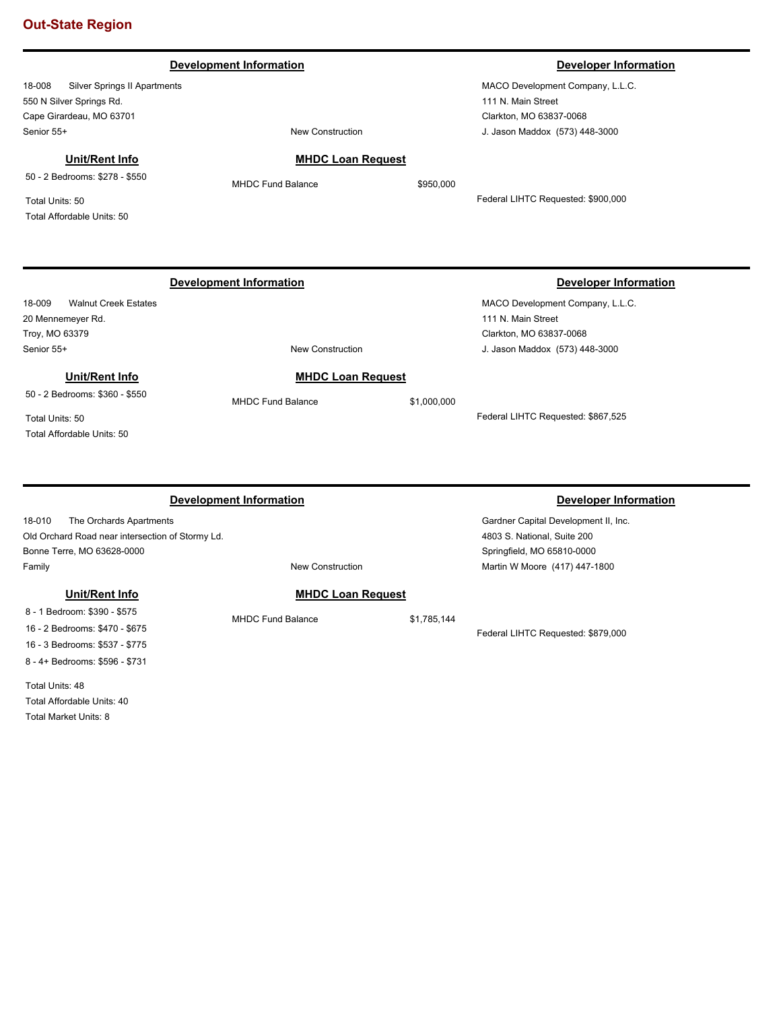# 18-008 Silver Springs II Apartments 550 N Silver Springs Rd. Cape Girardeau, MO 63701 MACO Development Company, L.L.C. 111 N. Main Street Clarkton, MO 63837-0068 Senior 55+ New Construction **Development Information Developer Information Developer Information** J. Jason Maddox (573) 448-3000 **MHDC Loan Request** MHDC Fund Balance \$950,000 Federal LIHTC Requested: \$900,000 **Unit/Rent Info** 50 - 2 Bedrooms: \$278 - \$550 Total Units: 50 Total Affordable Units: 50 18-009 Walnut Creek Estates 20 Mennemeyer Rd. Troy, MO 63379 MACO Development Company, L.L.C. 111 N. Main Street Clarkton, MO 63837-0068 Senior 55+ New Construction **Development Information Developer Information** J. Jason Maddox (573) 448-3000 **MHDC Loan Request** MHDC Fund Balance \$1,000,000 Federal LIHTC Requested: \$867,525 **Unit/Rent Info** 50 - 2 Bedrooms: \$360 - \$550 Total Units: 50 Total Affordable Units: 50 **Development Information Developer Information**

| 18-010<br>The Orchards Apartments                |                          |             | Gardner Capital Development II, Inc. |  |
|--------------------------------------------------|--------------------------|-------------|--------------------------------------|--|
| Old Orchard Road near intersection of Stormy Ld. |                          |             | 4803 S. National, Suite 200          |  |
| Bonne Terre, MO 63628-0000                       |                          |             | Springfield, MO 65810-0000           |  |
| Family                                           | New Construction         |             | Martin W Moore (417) 447-1800        |  |
| Unit/Rent Info                                   | <b>MHDC Loan Request</b> |             |                                      |  |
| 8 - 1 Bedroom: \$390 - \$575                     | <b>MHDC Fund Balance</b> | \$1,785,144 |                                      |  |
|                                                  |                          |             |                                      |  |

16 - 2 Bedrooms: \$470 - \$675 16 - 3 Bedrooms: \$537 - \$775 8 - 4+ Bedrooms: \$596 - \$731

Total Units: 48 Total Affordable Units: 40 Total Market Units: 8

Federal LIHTC Requested: \$879,000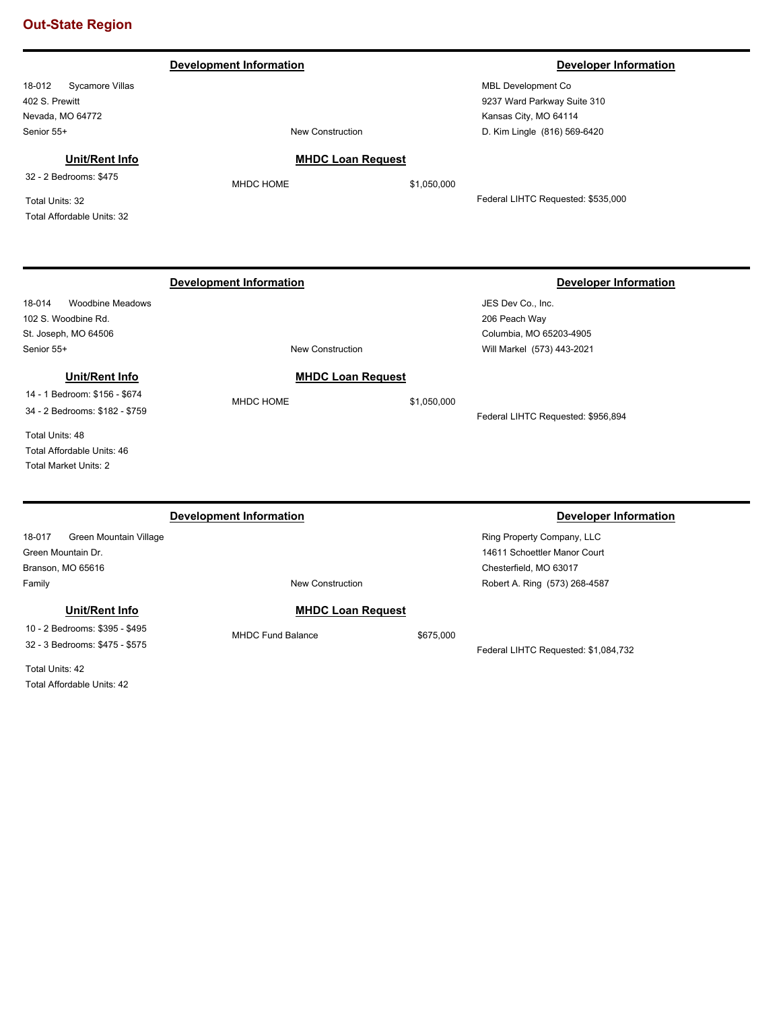### 18-012 Sycamore Villas 402 S. Prewitt Nevada, MO 64772 MBL Development Co 9237 Ward Parkway Suite 310 Kansas City, MO 64114 Senior 55+ New Construction **Development Information Developer Information** D. Kim Lingle (816) 569-6420 **MHDC Loan Request** MHDC HOME \$1,050,000 Federal LIHTC Requested: \$535,000 **Unit/Rent Info** 32 - 2 Bedrooms: \$475 Total Units: 32 Total Affordable Units: 32 18-014 Woodbine Meadows 102 S. Woodbine Rd. St. Joseph, MO 64506 JES Dev Co., Inc. 206 Peach Way Columbia, MO 65203-4905 Senior 55+ New Construction **Development Information Developer Information** Will Markel (573) 443-2021 **MHDC Loan Request** MHDC HOME \$1,050,000 Federal LIHTC Requested: \$956,894 **Unit/Rent Info** 14 - 1 Bedroom: \$156 - \$674 34 - 2 Bedrooms: \$182 - \$759 Total Units: 48 Total Affordable Units: 46 Total Market Units: 2 18-017 Green Mountain Village Green Mountain Dr. Branson, MO 65616 Ring Property Company, LLC 14611 Schoettler Manor Court Chesterfield, MO 63017 Family **Family Family New Construction Development Information Developer Information** Robert A. Ring (573) 268-4587 **MHDC Loan Request** MHDC Fund Balance \$675,000 Federal LIHTC Requested: \$1,084,732 **Unit/Rent Info** 10 - 2 Bedrooms: \$395 - \$495 32 - 3 Bedrooms: \$475 - \$575 Total Units: 42 Total Affordable Units: 42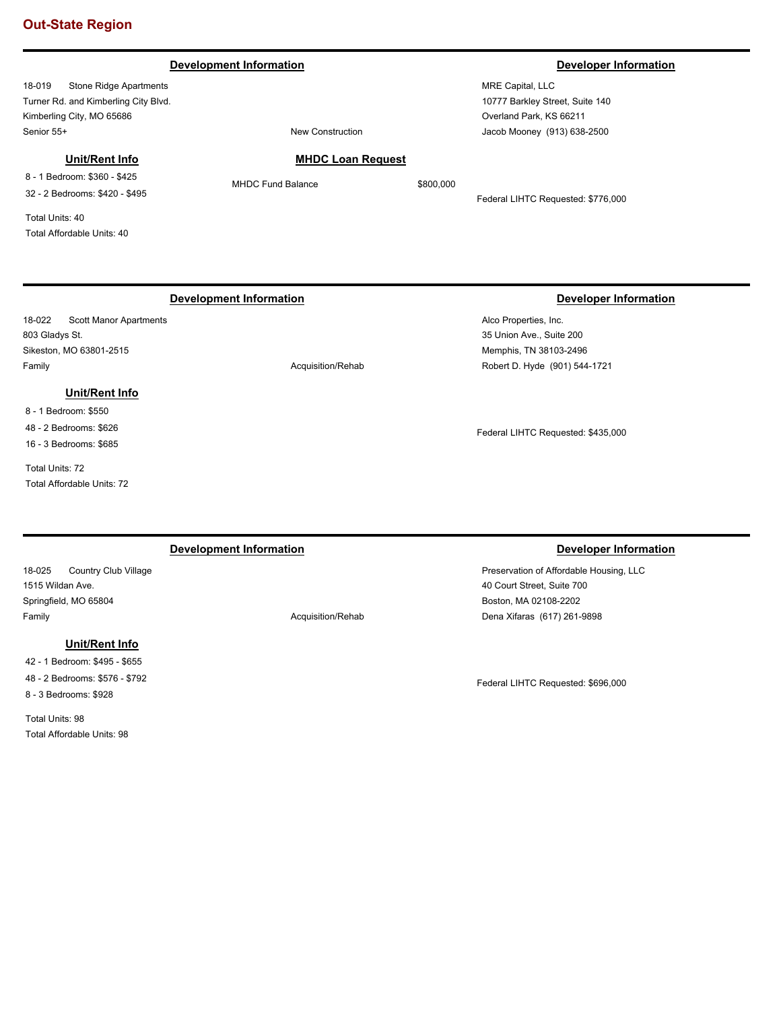### **Development Information Developer Information**

18-019 Stone Ridge Apartments Turner Rd. and Kimberling City Blvd. Kimberling City, MO 65686 Senior 55+ New Construction

# **Unit/Rent Info**

8 - 1 Bedroom: \$360 - \$425 32 - 2 Bedrooms: \$420 - \$495

Total Units: 40 Total Affordable Units: 40

MRE Capital, LLC 10777 Barkley Street, Suite 140 Overland Park, KS 66211 Jacob Mooney (913) 638-2500

# **MHDC Loan Request**

MHDC Fund Balance \$800,000

Federal LIHTC Requested: \$776,000

# **Development Information Developer Information**

18-022 Scott Manor Apartments 803 Gladys St. Sikeston, MO 63801-2515 Family **Acquisition/Rehab Acquisition/Rehab** 

# **Unit/Rent Info**

8 - 1 Bedroom: \$550 48 - 2 Bedrooms: \$626 16 - 3 Bedrooms: \$685

Total Units: 72 Total Affordable Units: 72

# **Development Information Developer Information**

18-025 Country Club Village 1515 Wildan Ave. Springfield, MO 65804 Family **Acquisition/Rehab** 

**Unit/Rent Info**

42 - 1 Bedroom: \$495 - \$655 48 - 2 Bedrooms: \$576 - \$792 8 - 3 Bedrooms: \$928

Total Units: 98 Total Affordable Units: 98

Alco Properties, Inc. 35 Union Ave., Suite 200 Memphis, TN 38103-2496 Robert D. Hyde (901) 544-1721

Federal LIHTC Requested: \$435,000

Preservation of Affordable Housing, LLC 40 Court Street, Suite 700 Boston, MA 02108-2202 Dena Xifaras (617) 261-9898

Federal LIHTC Requested: \$696,000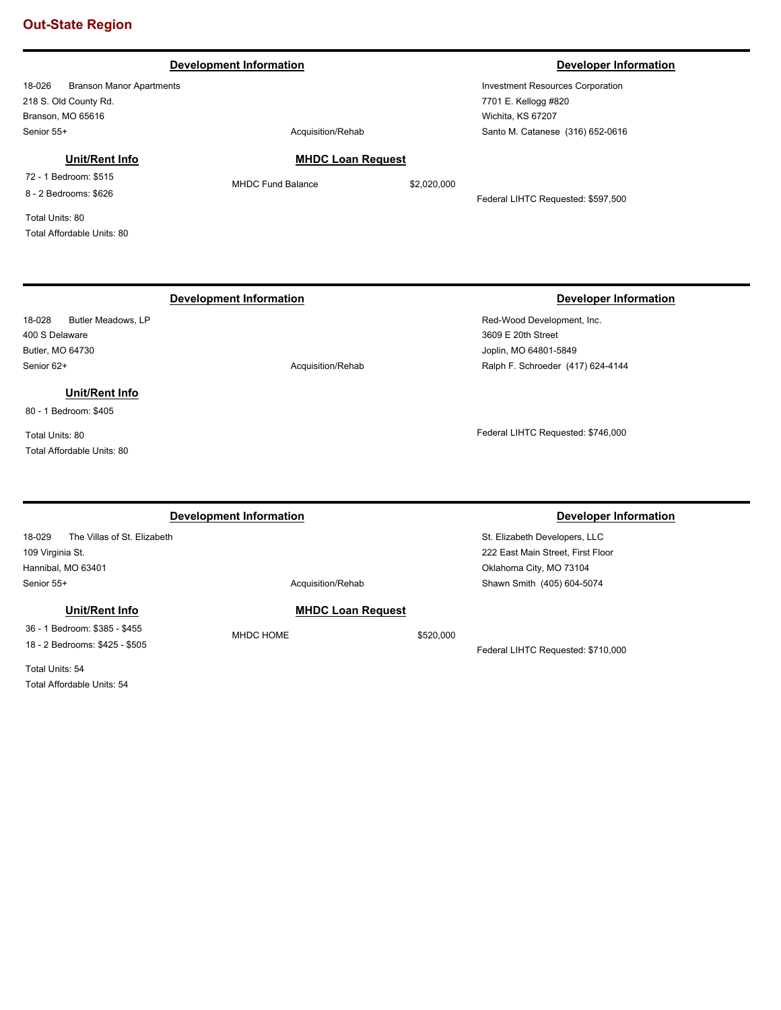### **Development Information Developer Information**

18-026 Branson Manor Apartments 218 S. Old County Rd. Branson, MO 65616 Senior 55+ Acquisition/Rehab

### **Unit/Rent Info**

72 - 1 Bedroom: \$515 8 - 2 Bedrooms: \$626

Total Units: 80 Total Affordable Units: 80 MHDC Fund Balance \$2,020,000

**MHDC Loan Request**

Federal LIHTC Requested: \$597,500

18-028 Butler Meadows, LP 400 S Delaware Butler, MO 64730 Senior 62+ Acquisition/Rehabition 62+

# **Unit/Rent Info**

80 - 1 Bedroom: \$405

Total Units: 80 Total Affordable Units: 80

## **Development Information Developer Information**

Red-Wood Development, Inc. 3609 E 20th Street Joplin, MO 64801-5849 Ralph F. Schroeder (417) 624-4144

Federal LIHTC Requested: \$746,000

### **Development Information Developer Information**

18-029 The Villas of St. Elizabeth 109 Virginia St. Hannibal, MO 63401

### **Unit/Rent Info**

36 - 1 Bedroom: \$385 - \$455 18 - 2 Bedrooms: \$425 - \$505

Total Units: 54 Total Affordable Units: 54

Senior 55+ Acquisition/Rehab

### **MHDC Loan Request**

MHDC HOME \$520,000

St. Elizabeth Developers, LLC 222 East Main Street, First Floor Oklahoma City, MO 73104 Shawn Smith (405) 604-5074

Federal LIHTC Requested: \$710,000

Investment Resources Corporation 7701 E. Kellogg #820 Wichita, KS 67207 Santo M. Catanese (316) 652-0616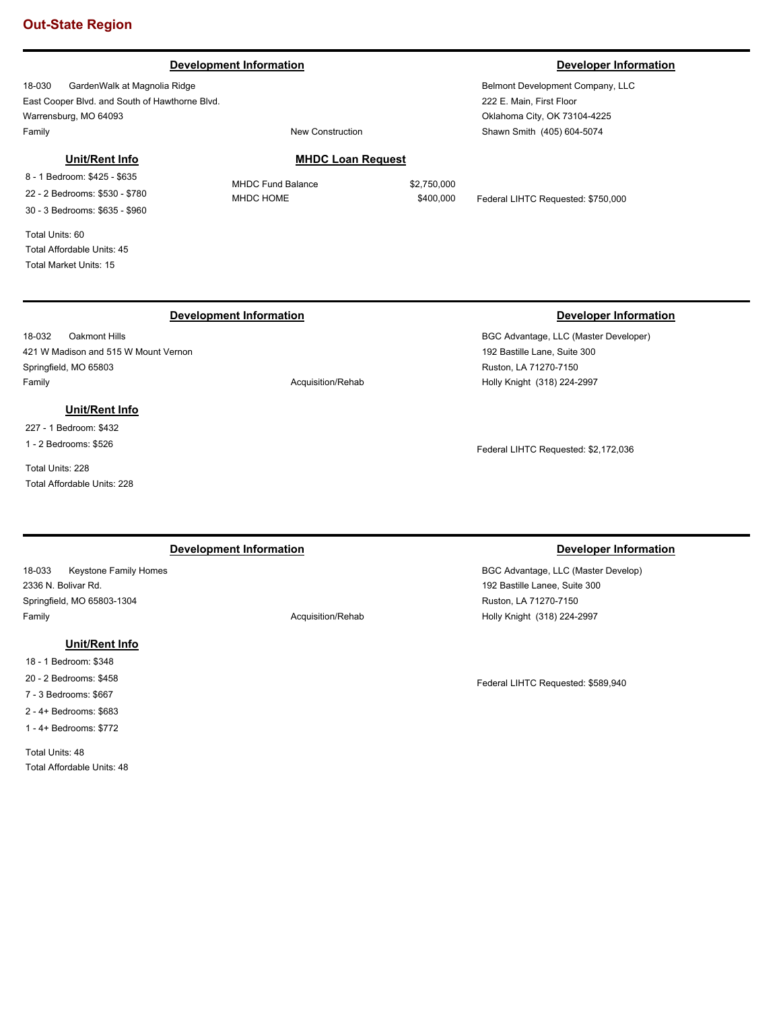### **Development Information Developer Information**

18-030 GardenWalk at Magnolia Ridge East Cooper Blvd. and South of Hawthorne Blvd. Warrensburg, MO 64093 Family **Family Family New Construction** 

### **Unit/Rent Info**

8 - 1 Bedroom: \$425 - \$635 22 - 2 Bedrooms: \$530 - \$780 30 - 3 Bedrooms: \$635 - \$960

Total Units: 60 Total Affordable Units: 45 Total Market Units: 15

### **MHDC Loan Request**

MHDC Fund Balance \$2,750,000

MHDC HOME  $$400,000$  Federal LIHTC Requested: \$750,000

# **Development Information Developer Information**

18-032 Oakmont Hills 421 W Madison and 515 W Mount Vernon Springfield, MO 65803 Family **Acquisition/Rehab** 

### **Unit/Rent Info**

227 - 1 Bedroom: \$432 1 - 2 Bedrooms: \$526

Total Units: 228 Total Affordable Units: 228

### **Development Information Developer Information**

18-033 Keystone Family Homes 2336 N. Bolivar Rd. Springfield, MO 65803-1304 Family **Acquisition/Rehab** 

### **Unit/Rent Info**

18 - 1 Bedroom: \$348

20 - 2 Bedrooms: \$458

7 - 3 Bedrooms: \$667

2 - 4+ Bedrooms: \$683

1 - 4+ Bedrooms: \$772

Total Units: 48 Total Affordable Units: 48

BGC Advantage, LLC (Master Developer) 192 Bastille Lane, Suite 300 Ruston, LA 71270-7150 Holly Knight (318) 224-2997

Federal LIHTC Requested: \$2,172,036

BGC Advantage, LLC (Master Develop) 192 Bastille Lanee, Suite 300 Ruston, LA 71270-7150 Holly Knight (318) 224-2997

Federal LIHTC Requested: \$589,940

Belmont Development Company, LLC 222 E. Main, First Floor Oklahoma City, OK 73104-4225 Shawn Smith (405) 604-5074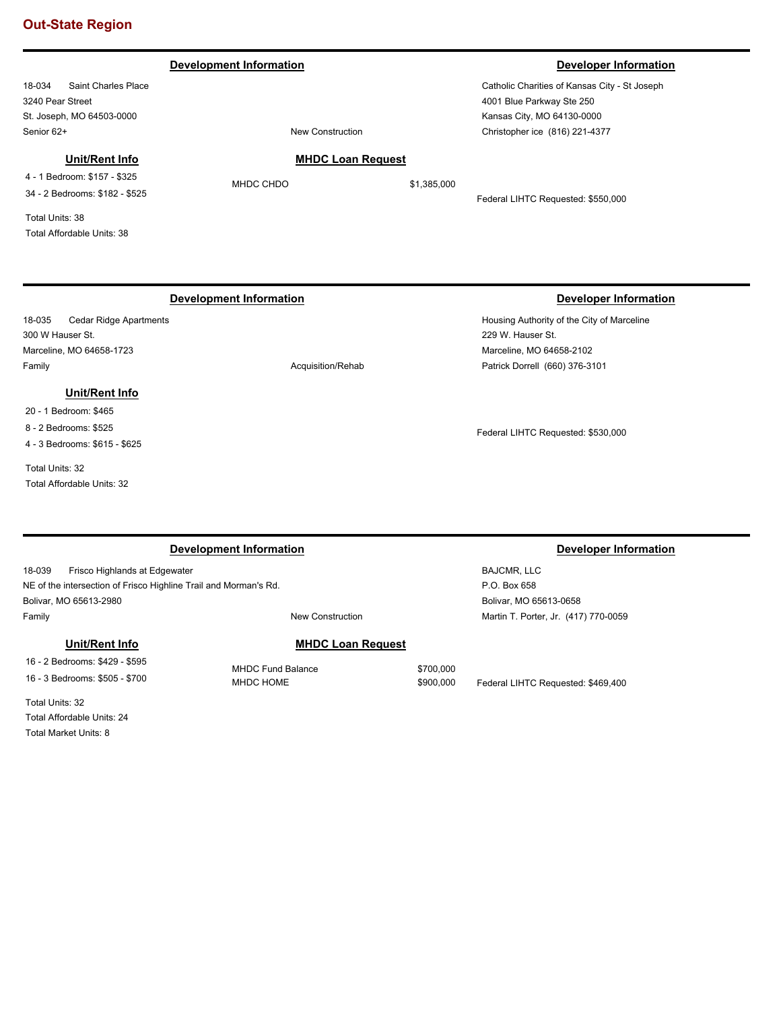### **Development Information Developer Information Developer Information**

18-034 Saint Charles Place 3240 Pear Street St. Joseph, MO 64503-0000 Senior 62+ New Construction

Catholic Charities of Kansas City - St Joseph 4001 Blue Parkway Ste 250 Kansas City, MO 64130-0000 Christopher ice (816) 221-4377

## **Unit/Rent Info**

4 - 1 Bedroom: \$157 - \$325 34 - 2 Bedrooms: \$182 - \$525

Total Units: 38 Total Affordable Units: 38

## **Development Information Developer Information**

18-035 Cedar Ridge Apartments 300 W Hauser St. Marceline, MO 64658-1723 Family **Acquisition/Rehab Acquisition/Rehab** 

### **Unit/Rent Info**

- 20 1 Bedroom: \$465
- 8 2 Bedrooms: \$525 4 - 3 Bedrooms: \$615 - \$625

Total Units: 32 Total Affordable Units: 32

Housing Authority of the City of Marceline 229 W. Hauser St. Marceline, MO 64658-2102 Patrick Dorrell (660) 376-3101

Federal LIHTC Requested: \$530,000

| Development Information                                          |                          |           | Developer Information                |  |
|------------------------------------------------------------------|--------------------------|-----------|--------------------------------------|--|
| 18-039<br>Frisco Highlands at Edgewater                          |                          |           | BAJCMR, LLC                          |  |
| NE of the intersection of Frisco Highline Trail and Morman's Rd. |                          |           | P.O. Box 658                         |  |
| Bolivar, MO 65613-2980                                           |                          |           | Bolivar, MO 65613-0658               |  |
| Family                                                           | New Construction         |           | Martin T. Porter, Jr. (417) 770-0059 |  |
| Unit/Rent Info                                                   | <b>MHDC Loan Request</b> |           |                                      |  |
| 16 - 2 Bedrooms: \$429 - \$595                                   | <b>MHDC Fund Balance</b> | \$700,000 |                                      |  |
| 16 - 3 Bedrooms: \$505 - \$700                                   | MHDC HOME                | \$900,000 | Federal LIHTC Requested: \$469.400   |  |

Total Units: 32 Total Affordable Units: 24 Total Market Units: 8

**MHDC Loan Request**

MHDC CHDO \$1,385,000

Federal LIHTC Requested: \$550,000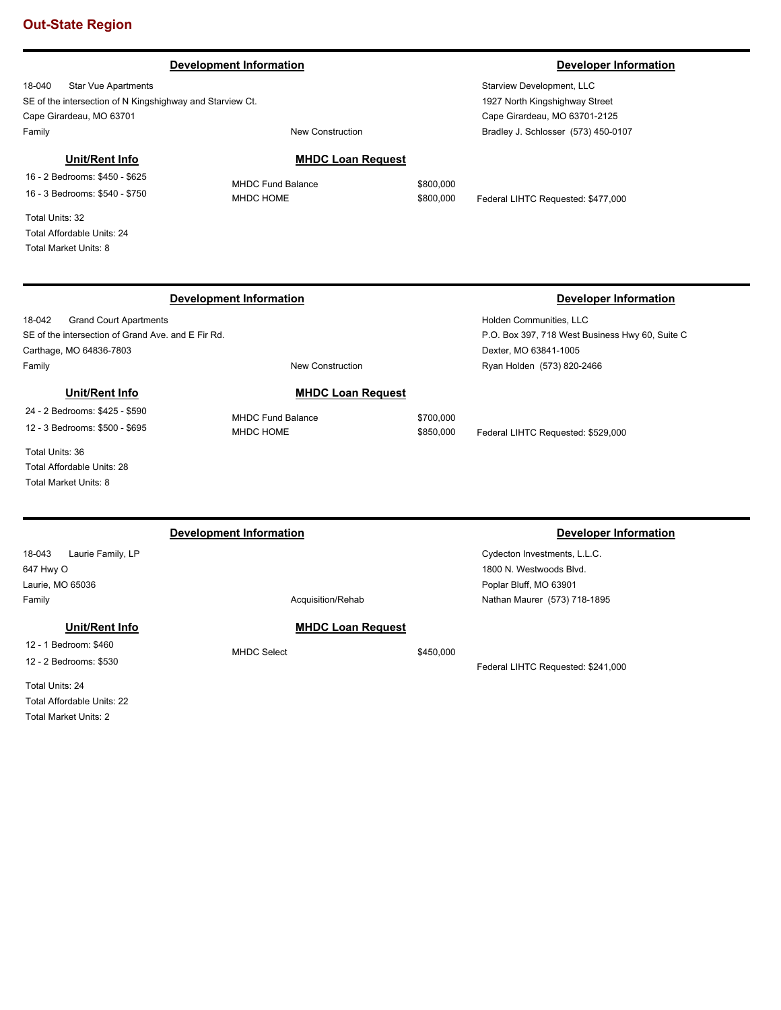### **Development Information Developer Information**

18-040 Star Vue Apartments SE of the intersection of N Kingshighway and Starview Ct. Cape Girardeau, MO 63701 Family **Family Family New Construction** 

### **Unit/Rent Info**

16 - 2 Bedrooms: \$450 - \$625 16 - 3 Bedrooms: \$540 - \$750

Total Units: 32 Total Affordable Units: 24 Total Market Units: 8

**MHDC Loan Request**

MHDC Fund Balance \$800,000

MHDC HOME  $$800,000$  Federal LIHTC Requested: \$477,000

|  | Development Information |  |
|--|-------------------------|--|
|  |                         |  |

18-042 Grand Court Apartments SE of the intersection of Grand Ave. and E Fir Rd. Carthage, MO 64836-7803 Family **Family New Construction** 

**MHDC Loan Request** MHDC Fund Balance \$700,000

## **Unit/Rent Info**

24 - 2 Bedrooms: \$425 - \$590 12 - 3 Bedrooms: \$500 - \$695

Total Units: 36 Total Affordable Units: 28 Total Market Units: 8

18-043 Laurie Family, LP **Development Information Developer Information** 

647 Hwy O Laurie, MO 65036

### **Unit/Rent Info**

12 - 1 Bedroom: \$460 12 - 2 Bedrooms: \$530

Total Units: 24 Total Affordable Units: 22 Total Market Units: 2

# **MHDC Loan Request**

MHDC Select \$450,000

Federal LIHTC Requested: \$241,000

# **Developer Information**

Holden Communities, LLC P.O. Box 397, 718 West Business Hwy 60, Suite C Dexter, MO 63841-1005 Ryan Holden (573) 820-2466

MHDC HOME  $$850,000$  Federal LIHTC Requested: \$529,000

Cydecton Investments, L.L.C. 1800 N. Westwoods Blvd. Poplar Bluff, MO 63901 Nathan Maurer (573) 718-1895

Family **Family Acquisition/Rehab** 

Starview Development, LLC 1927 North Kingshighway Street Cape Girardeau, MO 63701-2125 Bradley J. Schlosser (573) 450-0107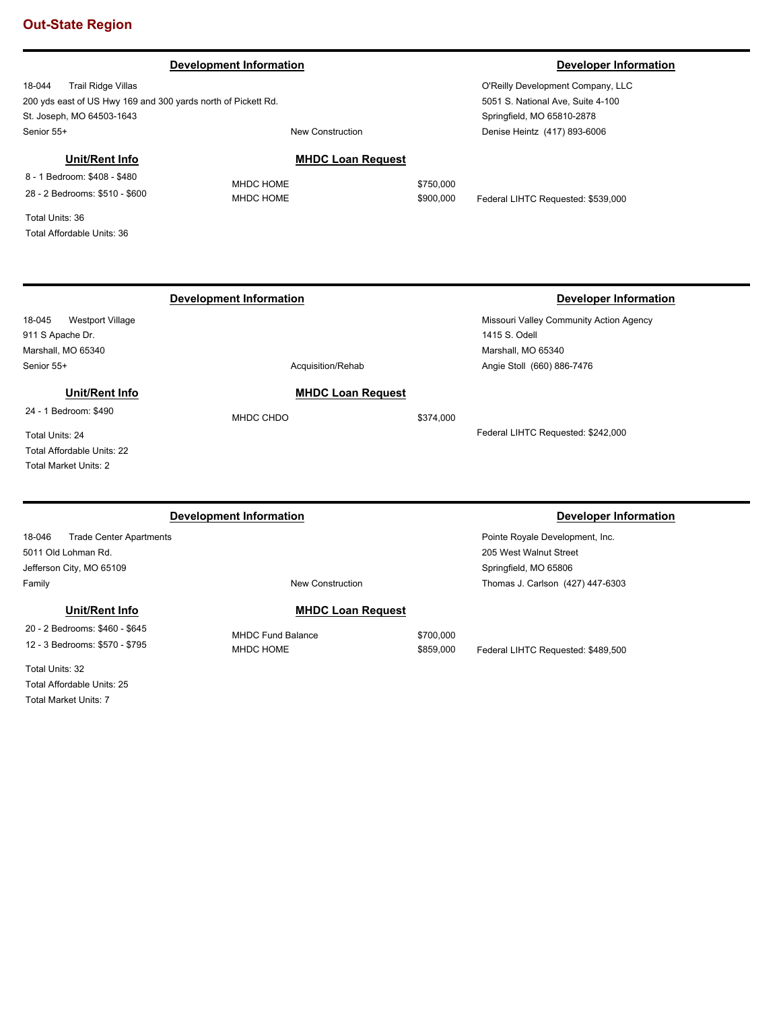### **Development Information Developer Information**

18-044 Trail Ridge Villas 200 yds east of US Hwy 169 and 300 yards north of Pickett Rd. St. Joseph, MO 64503-1643 Senior 55+ New Construction

### **MHDC Loan Request**

Total Units: 36 Total Affordable Units: 36

8 - 1 Bedroom: \$408 - \$480 28 - 2 Bedrooms: \$510 - \$600

**Unit/Rent Info**

18-045 Westport Village 911 S Apache Dr. Marshall, MO 65340 Senior 55+ Acquisition/Rehabition Acquisition/Rehabition Acquisition/Rehabition **MHDC Loan Request Unit/Rent Info**

## 24 - 1 Bedroom: \$490

Total Units: 24 Total Affordable Units: 22 Total Market Units: 2

### **Development Information Developer Information**

18-046 Trade Center Apartments 5011 Old Lohman Rd. Jefferson City, MO 65109 Family **New Construction** 

### **Unit/Rent Info**

20 - 2 Bedrooms: \$460 - \$645 12 - 3 Bedrooms: \$570 - \$795

Total Units: 32 Total Affordable Units: 25 Total Market Units: 7

**MHDC Loan Request**

MHDC Fund Balance \$700,000

MHDC HOME  $$859,000$  Federal LIHTC Requested: \$489,500

Missouri Valley Community Action Agency

Federal LIHTC Requested: \$242,000

Pointe Royale Development, Inc. 205 West Walnut Street Springfield, MO 65806

Thomas J. Carlson (427) 447-6303

O'Reilly Development Company, LLC 5051 S. National Ave, Suite 4-100 Springfield, MO 65810-2878 Denise Heintz (417) 893-6006

**Development Information Developer Information** 

MHDC HOME \$750,000 MHDC HOME  $$900,000$  Federal LIHTC Requested: \$539,000

1415 S. Odell

Marshall, MO 65340 Angie Stoll (660) 886-7476

MHDC CHDO \$374,000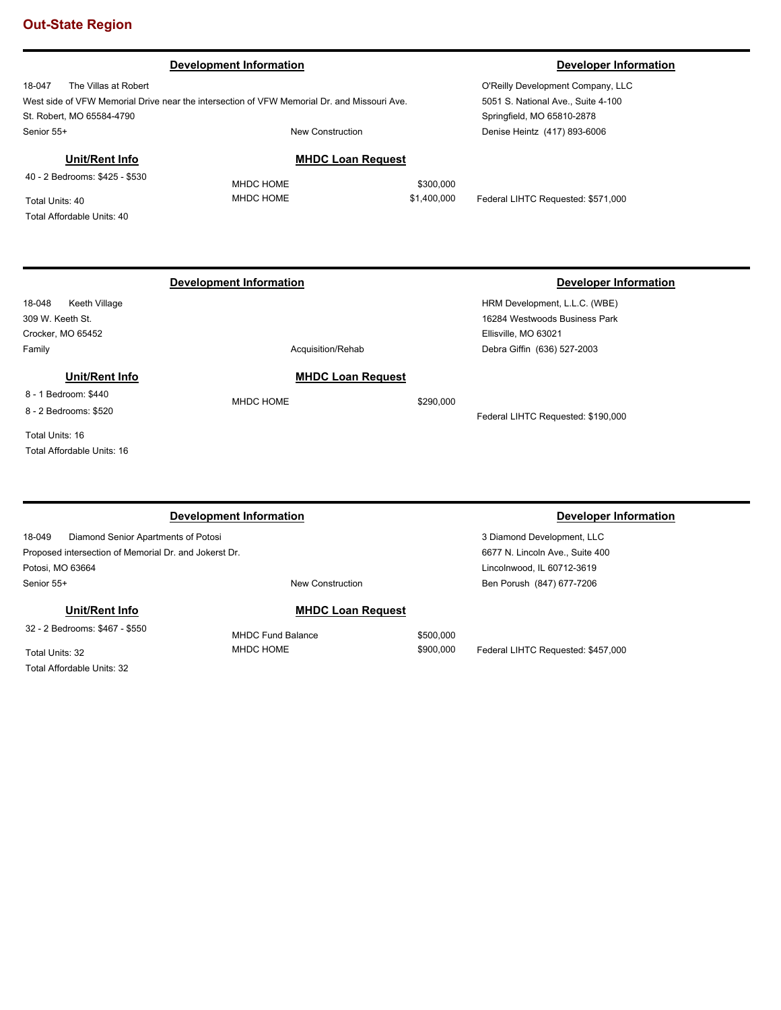# **Development Information Developer Information**

18-047 The Villas at Robert West side of VFW Memorial Drive near the intersection of VFW Memorial Dr. and Missouri Ave. St. Robert, MO 65584-4790 Senior 55+ New Construction

O'Reilly Development Company, LLC 5051 S. National Ave., Suite 4-100 Springfield, MO 65810-2878 Denise Heintz (417) 893-6006

# **Unit/Rent Info**

40 - 2 Bedrooms: \$425 - \$530

Total Units: 40 Total Affordable Units: 40

# **MHDC Loan Request**

MHDC HOME \$300,000

MHDC HOME  $$1,400,000$  Federal LIHTC Requested: \$571,000

# **Development Information Developer Information**

18-048 Keeth Village 309 W. Keeth St. Crocker, MO 65452 Family **Acquisition/Rehab Acquisition/Rehab** 

### **Unit/Rent Info**

8 - 1 Bedroom: \$440 8 - 2 Bedrooms: \$520

Total Units: 16

Total Affordable Units: 16

### **Development Information Developer Information**

18-049 Diamond Senior Apartments of Potosi Proposed intersection of Memorial Dr. and Jokerst Dr. Potosi, MO 63664 Senior 55+ New Construction

# **Unit/Rent Info**

32 - 2 Bedrooms: \$467 - \$550

Total Units: 32 Total Affordable Units: 32

# **MHDC Loan Request**

MHDC HOME \$290,000

HRM Development, L.L.C. (WBE) 16284 Westwoods Business Park Ellisville, MO 63021 Debra Giffin (636) 527-2003

Federal LIHTC Requested: \$190,000

3 Diamond Development, LLC 6677 N. Lincoln Ave., Suite 400 Lincolnwood, IL 60712-3619 Ben Porush (847) 677-7206

**MHDC Loan Request**

# MHDC Fund Balance \$500,000

MHDC HOME  $$900,000$  Federal LIHTC Requested: \$457,000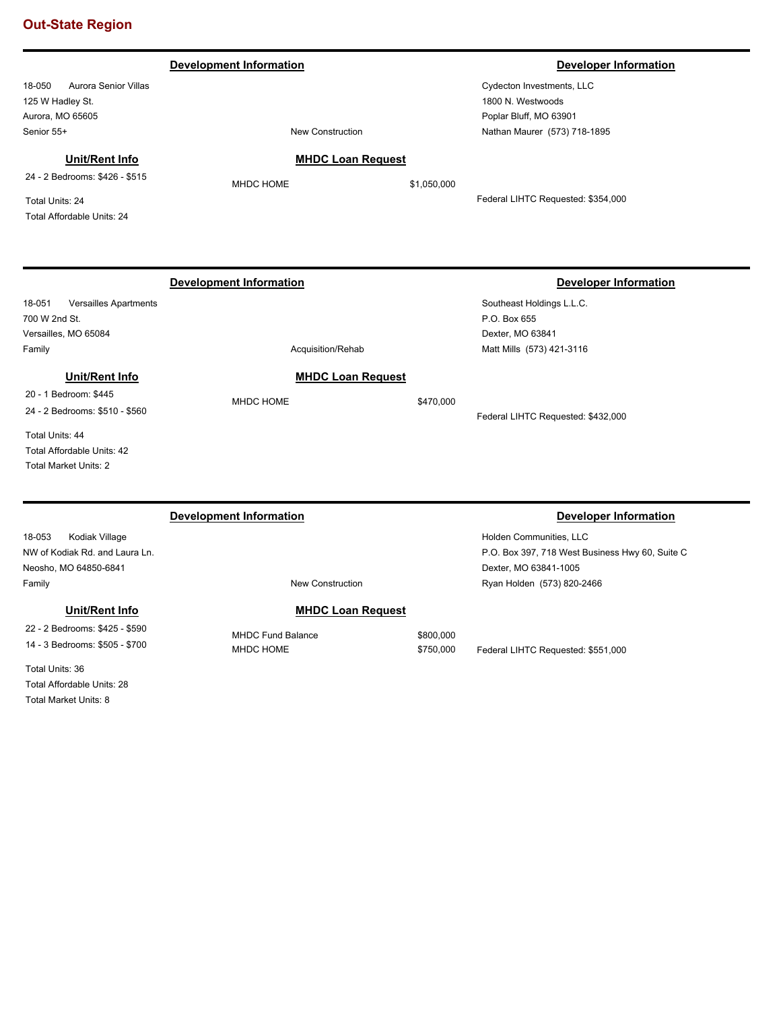### 18-050 Aurora Senior Villas 125 W Hadley St. Aurora, MO 65605 Cydecton Investments, LLC 1800 N. Westwoods Poplar Bluff, MO 63901 Senior 55+ New Construction **Development Information Developer Information** Nathan Maurer (573) 718-1895 **MHDC Loan Request** MHDC HOME \$1,050,000 Federal LIHTC Requested: \$354,000 **Unit/Rent Info** 24 - 2 Bedrooms: \$426 - \$515 Total Units: 24 Total Affordable Units: 24 18-051 Versailles Apartments 700 W 2nd St. Versailles, MO 65084 Southeast Holdings L.L.C. P.O. Box 655 Dexter, MO 63841 Family **Acquisition/Rehab Acquisition/Rehab Development Information Developer Information** Matt Mills (573) 421-3116 **MHDC Loan Request** MHDC HOME \$470,000 Federal LIHTC Requested: \$432,000 **Unit/Rent Info** 20 - 1 Bedroom: \$445 24 - 2 Bedrooms: \$510 - \$560 Total Units: 44 Total Affordable Units: 42 Total Market Units: 2 18-053 Kodiak Village NW of Kodiak Rd. and Laura Ln. Neosho, MO 64850-6841 Holden Communities, LLC P.O. Box 397, 718 West Business Hwy 60, Suite C Dexter, MO 63841-1005 **Development Information Developer Information**

# **Unit/Rent Info**

22 - 2 Bedrooms: \$425 - \$590 14 - 3 Bedrooms: \$505 - \$700

Total Units: 36 Total Affordable Units: 28 Total Market Units: 8

Family **Family Family New Construction** 

# **MHDC Loan Request**

MHDC Fund Balance \$800,000 MHDC HOME  $$750,000$  Federal LIHTC Requested: \$551,000

Ryan Holden (573) 820-2466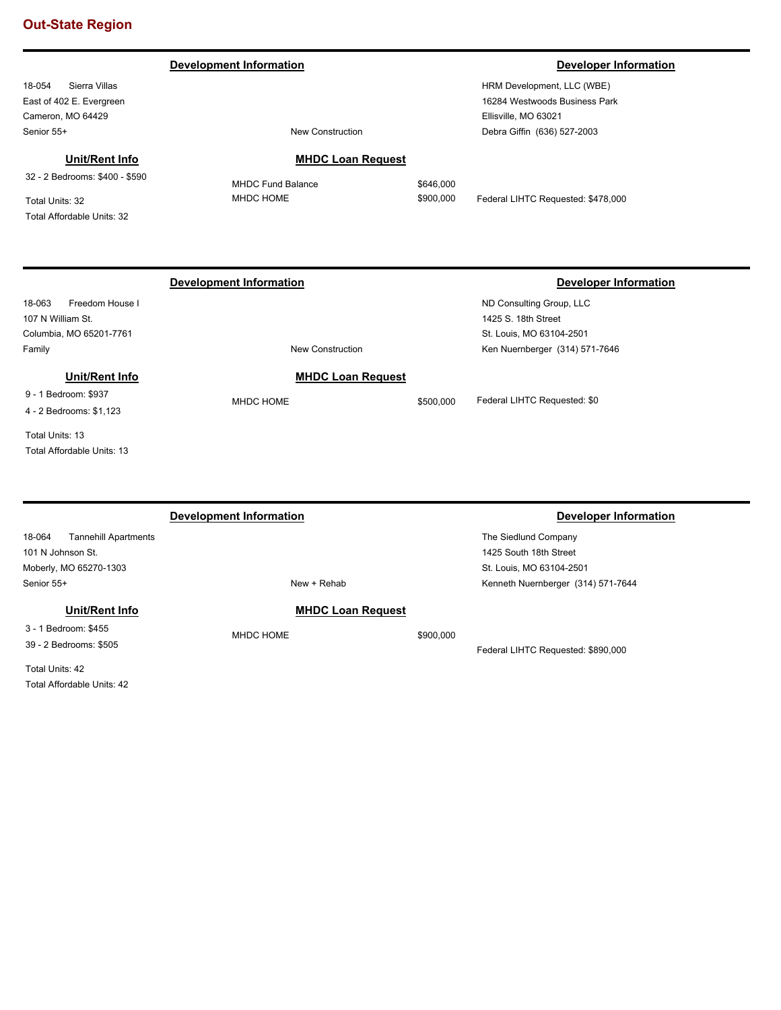**Development Information Developer Information** 

18-054 Sierra Villas East of 402 E. Evergreen Cameron, MO 64429 Senior 55+ New Construction

# **Unit/Rent Info**

32 - 2 Bedrooms: \$400 - \$590

Total Units: 32 Total Affordable Units: 32

HRM Development, LLC (WBE) 16284 Westwoods Business Park Ellisville, MO 63021 Debra Giffin (636) 527-2003

## **MHDC Loan Request**

**MHDC Loan Request**

MHDC Fund Balance \$646,000

MHDC HOME  $$900,000$  Federal LIHTC Requested: \$478,000

# **Development Information Developer Information**

18-063 Freedom House I 107 N William St. Columbia, MO 65201-7761 Family **New Construction** 

# **Unit/Rent Info**

9 - 1 Bedroom: \$937 4 - 2 Bedrooms: \$1,123

Total Units: 13

Total Affordable Units: 13

18-064 Tannehill Apartments 101 N Johnson St. Moberly, MO 65270-1303 The Siedlund Company 1425 South 18th Street St. Louis, MO 63104-2501 Senior 55+ New + Rehab **Development Information Developer Information** Kenneth Nuernberger (314) 571-7644 **MHDC Loan Request** MHDC HOME \$900,000 Federal LIHTC Requested: \$890,000 **Unit/Rent Info** 3 - 1 Bedroom: \$455 39 - 2 Bedrooms: \$505

Total Units: 42 Total Affordable Units: 42

ND Consulting Group, LLC 1425 S. 18th Street St. Louis, MO 63104-2501 Ken Nuernberger (314) 571-7646

MHDC HOME  $$500,000$  Federal LIHTC Requested: \$0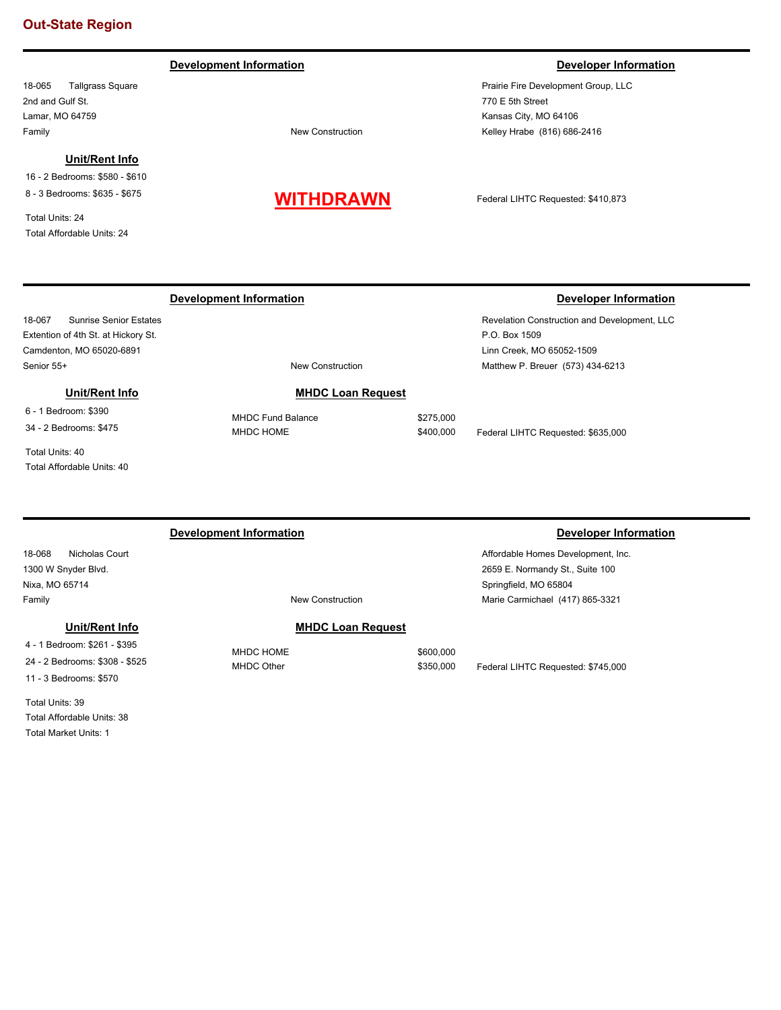### **Development Information Developer Information**

18-065 Tallgrass Square 2nd and Gulf St. Lamar, MO 64759 Family **Family Family New Construction** 

### **Unit/Rent Info**

16 - 2 Bedrooms: \$580 - \$610 8 - 3 Bedrooms: \$635 - \$675

Total Units: 24 Total Affordable Units: 24

# **WITHDRAWN**

Prairie Fire Development Group, LLC 770 E 5th Street Kansas City, MO 64106 Kelley Hrabe (816) 686-2416

Federal LIHTC Requested: \$410,873

18-067 Sunrise Senior Estates Extention of 4th St. at Hickory St. Camdenton, MO 65020-6891 Senior 55+ New Construction

**MHDC Loan Request**

# **Unit/Rent Info**

6 - 1 Bedroom: \$390 34 - 2 Bedrooms: \$475

Total Units: 40 Total Affordable Units: 40 MHDC Fund Balance \$275,000

# **Development Information Developer Information**

Revelation Construction and Development, LLC P.O. Box 1509 Linn Creek, MO 65052-1509 Matthew P. Breuer (573) 434-6213

MHDC HOME  $$400,000$  Federal LIHTC Requested: \$635,000

Springfield, MO 65804

# **Development Information Developer Information**

# 18-068 Nicholas Court 1300 W Snyder Blvd. Nixa, MO 65714

# **MHDC Loan Request**

MHDC HOME \$600,000

# MHDC Other  $$350,000$  Federal LIHTC Requested: \$745,000

Affordable Homes Development, Inc. 2659 E. Normandy St., Suite 100

Marie Carmichael (417) 865-3321

Total Units: 39 Total Affordable Units: 38

4 - 1 Bedroom: \$261 - \$395 24 - 2 Bedrooms: \$308 - \$525 11 - 3 Bedrooms: \$570

**Unit/Rent Info**

Total Market Units: 1

# Family **Family Family New Construction**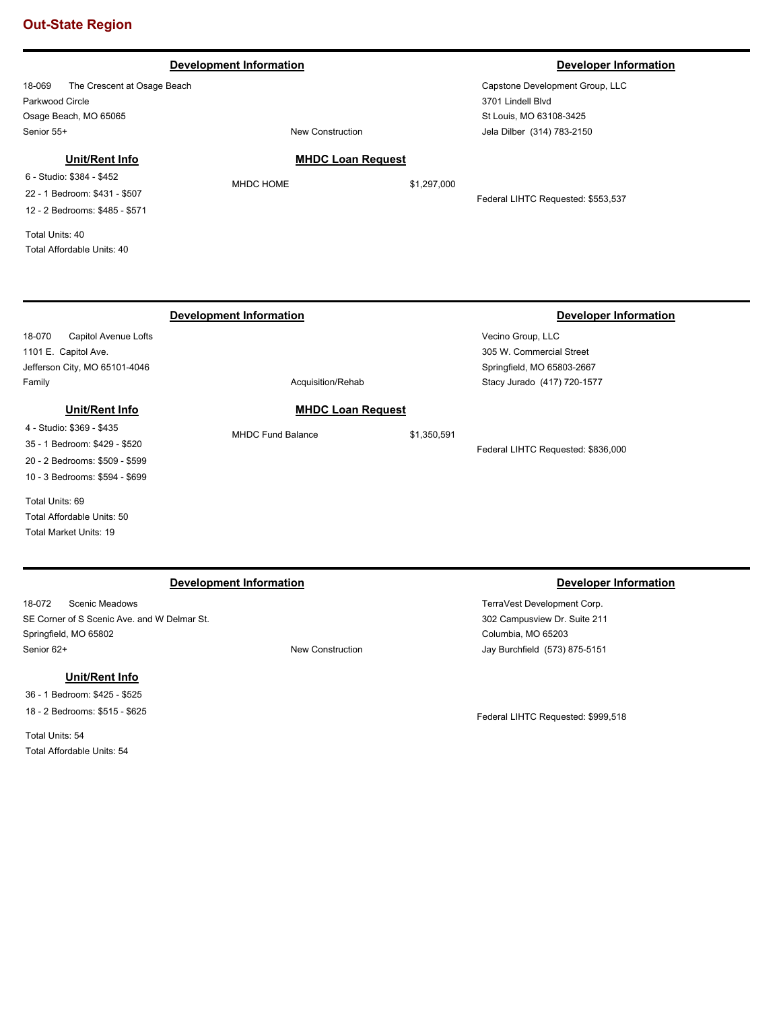### **Development Information Developer Information Developer Information**

18-069 The Crescent at Osage Beach Parkwood Circle Osage Beach, MO 65065 Senior 55+ New Construction

# **Unit/Rent Info**

6 - Studio: \$384 - \$452 22 - 1 Bedroom: \$431 - \$507 12 - 2 Bedrooms: \$485 - \$571

Total Units: 40 Total Affordable Units: 40

**MHDC Loan Request**

MHDC HOME \$1,297,000

Federal LIHTC Requested: \$553,537

|                                | Development Information | Developer Information       |
|--------------------------------|-------------------------|-----------------------------|
| 18-070<br>Capitol Avenue Lofts |                         | Vecino Group, LLC           |
| 1101 E. Capitol Ave.           |                         | 305 W. Commercial Street    |
| Jefferson City, MO 65101-4046  |                         | Springfield, MO 65803-2667  |
| Family                         | Acquisition/Rehab       | Stacy Jurado (417) 720-1577 |

## **Unit/Rent Info**

4 - Studio: \$369 - \$435 35 - 1 Bedroom: \$429 - \$520 20 - 2 Bedrooms: \$509 - \$599 10 - 3 Bedrooms: \$594 - \$699

Total Units: 69 Total Affordable Units: 50 Total Market Units: 19

## **Development Information Developer Information**

18-072 Scenic Meadows SE Corner of S Scenic Ave. and W Delmar St. Springfield, MO 65802 Senior 62+ New Construction

# **Unit/Rent Info**

36 - 1 Bedroom: \$425 - \$525 18 - 2 Bedrooms: \$515 - \$625

Total Units: 54 Total Affordable Units: 54

TerraVest Development Corp. 302 Campusview Dr. Suite 211 Columbia, MO 65203 Jay Burchfield (573) 875-5151

Federal LIHTC Requested: \$836,000

Federal LIHTC Requested: \$999,518

Capstone Development Group, LLC 3701 Lindell Blvd St Louis, MO 63108-3425 Jela Dilber (314) 783-2150

**MHDC Loan Request** MHDC Fund Balance \$1,350,591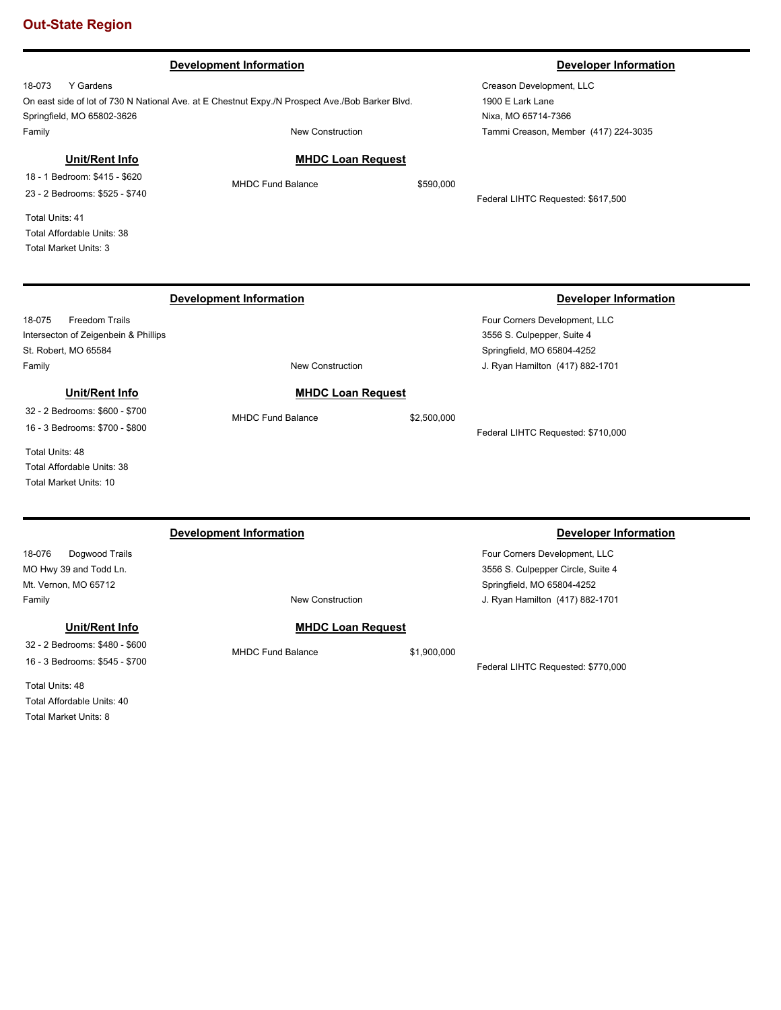|                                                                                                                                                                    | <b>Development Information</b>                                                                                      |             | <b>Developer Information</b>                                                                                                        |
|--------------------------------------------------------------------------------------------------------------------------------------------------------------------|---------------------------------------------------------------------------------------------------------------------|-------------|-------------------------------------------------------------------------------------------------------------------------------------|
| Y Gardens<br>18-073<br>Springfield, MO 65802-3626<br>Family                                                                                                        | On east side of lot of 730 N National Ave. at E Chestnut Expy./N Prospect Ave./Bob Barker Blvd.<br>New Construction |             | Creason Development, LLC<br>1900 E Lark Lane<br>Nixa, MO 65714-7366<br>Tammi Creason, Member (417) 224-3035                         |
| Unit/Rent Info<br>18 - 1 Bedroom: \$415 - \$620<br>23 - 2 Bedrooms: \$525 - \$740<br>Total Units: 41<br>Total Affordable Units: 38<br><b>Total Market Units: 3</b> | <b>MHDC Loan Request</b><br><b>MHDC Fund Balance</b>                                                                | \$590,000   | Federal LIHTC Requested: \$617,500                                                                                                  |
|                                                                                                                                                                    | <b>Development Information</b>                                                                                      |             | <b>Developer Information</b>                                                                                                        |
| 18-075<br><b>Freedom Trails</b><br>Intersecton of Zeigenbein & Phillips<br>St. Robert, MO 65584<br>Family                                                          | <b>New Construction</b>                                                                                             |             | Four Corners Development, LLC<br>3556 S. Culpepper, Suite 4<br>Springfield, MO 65804-4252<br>J. Ryan Hamilton (417) 882-1701        |
| Unit/Rent Info<br>32 - 2 Bedrooms: \$600 - \$700                                                                                                                   | <b>MHDC Loan Request</b><br><b>MHDC Fund Balance</b>                                                                | \$2,500,000 |                                                                                                                                     |
| 16 - 3 Bedrooms: \$700 - \$800<br>Total Units: 48<br>Total Affordable Units: 38<br>Total Market Units: 10                                                          |                                                                                                                     |             | Federal LIHTC Requested: \$710,000                                                                                                  |
|                                                                                                                                                                    | <b>Development Information</b>                                                                                      |             | <b>Developer Information</b>                                                                                                        |
| 18-076<br>Dogwood Trails<br>MO Hwy 39 and Todd Ln.<br>Mt. Vernon, MO 65712<br>Family                                                                               | <b>New Construction</b>                                                                                             |             | Four Corners Development, LLC<br>3556 S. Culpepper Circle, Suite 4<br>Springfield, MO 65804-4252<br>J. Ryan Hamilton (417) 882-1701 |
| Unit/Rent Info<br>32 - 2 Bedrooms: \$480 - \$600<br>16 - 3 Bedrooms: \$545 - \$700<br>Total Units: 48                                                              | <b>MHDC Loan Request</b><br><b>MHDC Fund Balance</b>                                                                | \$1,900,000 | Federal LIHTC Requested: \$770,000                                                                                                  |

Total Units: 48 Total Affordable Units: 40 Total Market Units: 8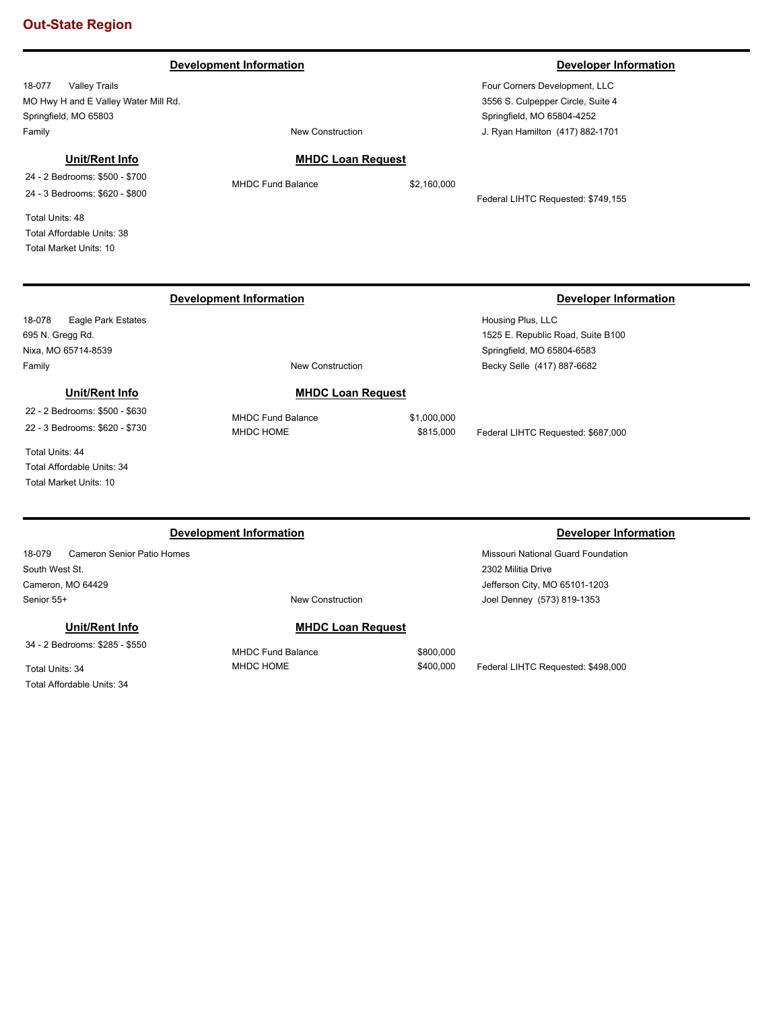### **Development Information Developer Information**

18-077 Valley Trails MO Hwy H and E Valley Water Mill Rd. Springfield, MO 65803 Family **Family Family New Construction** 

**Unit/Rent Info** 24 - 2 Bedrooms: \$500 - \$700 24 - 3 Bedrooms: \$620 - \$800

Total Units: 48 Total Affordable Units: 38 Total Market Units: 10

# **MHDC Loan Request**

MHDC Fund Balance \$2,160,000

Federal LIHTC Requested: \$749,155

Total Affordable Units: 34 Total Market Units: 10

# **Development Information Developer Information**

18-079 Cameron Senior Patio Homes South West St. Cameron, MO 64429 Senior 55+ New Construction

**Unit/Rent Info** 34 - 2 Bedrooms: \$285 - \$550

Total Units: 34

Total Affordable Units: 34

# **MHDC Loan Request**

Missouri National Guard Foundation 2302 Militia Drive Jefferson City, MO 65101-1203

Joel Denney (573) 819-1353

MHDC Fund Balance \$800,000 MHDC HOME  $$400,000$  Federal LIHTC Requested: \$498,000

# 3556 S. Culpepper Circle, Suite 4

Springfield, MO 65804-4252 J. Ryan Hamilton (417) 882-1701

Four Corners Development, LLC

### 18-078 Eagle Park Estates 695 N. Gregg Rd. Nixa, MO 65714-8539 Housing Plus, LLC 1525 E. Republic Road, Suite B100 Springfield, MO 65804-6583 Family **Family New Construction Development Information Developer Information** Becky Selle (417) 887-6682 **MHDC Loan Request** MHDC Fund Balance \$1,000,000 MHDC HOME  $$815,000$  Federal LIHTC Requested: \$687,000 **Unit/Rent Info** 22 - 2 Bedrooms: \$500 - \$630 22 - 3 Bedrooms: \$620 - \$730 Total Units: 44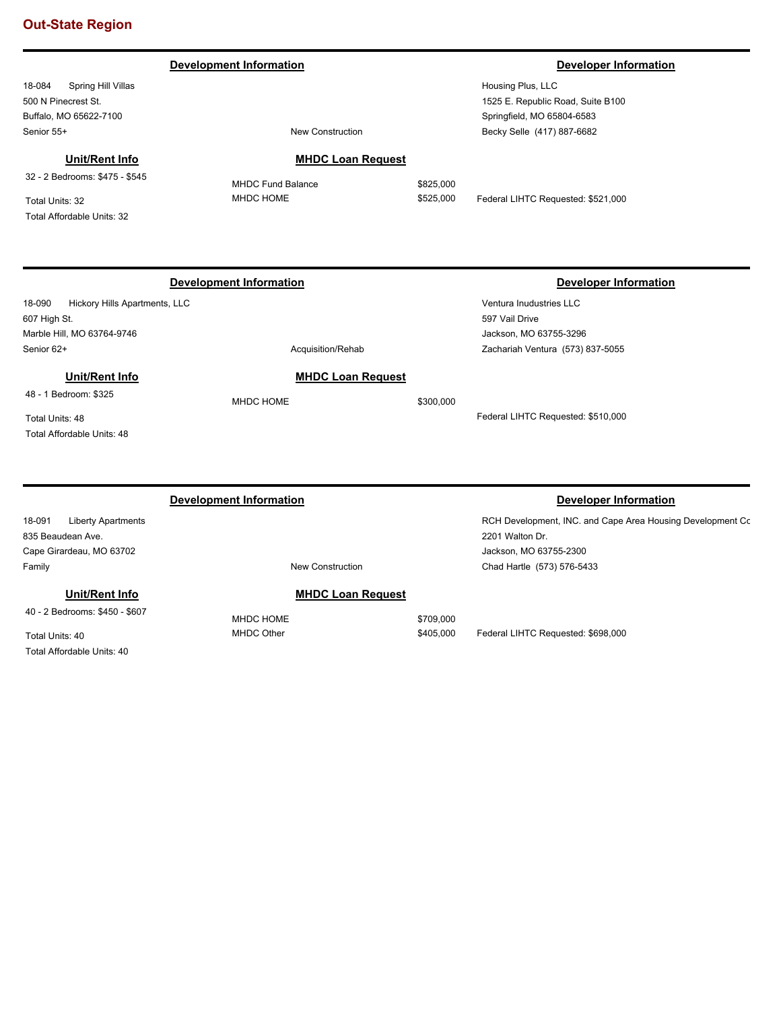**Development Information Developer Information** 

18-084 Spring Hill Villas 500 N Pinecrest St. Buffalo, MO 65622-7100 Senior 55+ New Construction

# **Unit/Rent Info**

32 - 2 Bedrooms: \$475 - \$545

Total Units: 32 Total Affordable Units: 32

Housing Plus, LLC 1525 E. Republic Road, Suite B100 Springfield, MO 65804-6583 Becky Selle (417) 887-6682

## **MHDC Loan Request**

MHDC Fund Balance \$825,000

MHDC HOME  $$525,000$  Federal LIHTC Requested: \$521,000

Ventura Inudustries LLC 597 Vail Drive

Jackson, MO 63755-3296

Zachariah Ventura (573) 837-5055

Federal LIHTC Requested: \$510,000

# **Development Information Developer Information**

18-090 Hickory Hills Apartments, LLC 607 High St. Marble Hill, MO 63764-9746 Senior 62+ Acquisition/Rehabition 62+

# **Unit/Rent Info**

48 - 1 Bedroom: \$325

Total Units: 48 Total Affordable Units: 48

MHDC HOME \$300,000

# **Development Information Developer Information Developer Information**

RCH Development, INC. and Cape Area Housing Development Cc 2201 Walton Dr. Jackson, MO 63755-2300 Chad Hartle (573) 576-5433

### **Unit/Rent Info**

Family **Family New Construction** 

40 - 2 Bedrooms: \$450 - \$607

18-091 Liberty Apartments

835 Beaudean Ave. Cape Girardeau, MO 63702

Total Units: 40 Total Affordable Units: 40

# **MHDC Loan Request**

MHDC HOME \$709,000

MHDC Other  $$405,000$  Federal LIHTC Requested: \$698,000

# **MHDC Loan Request**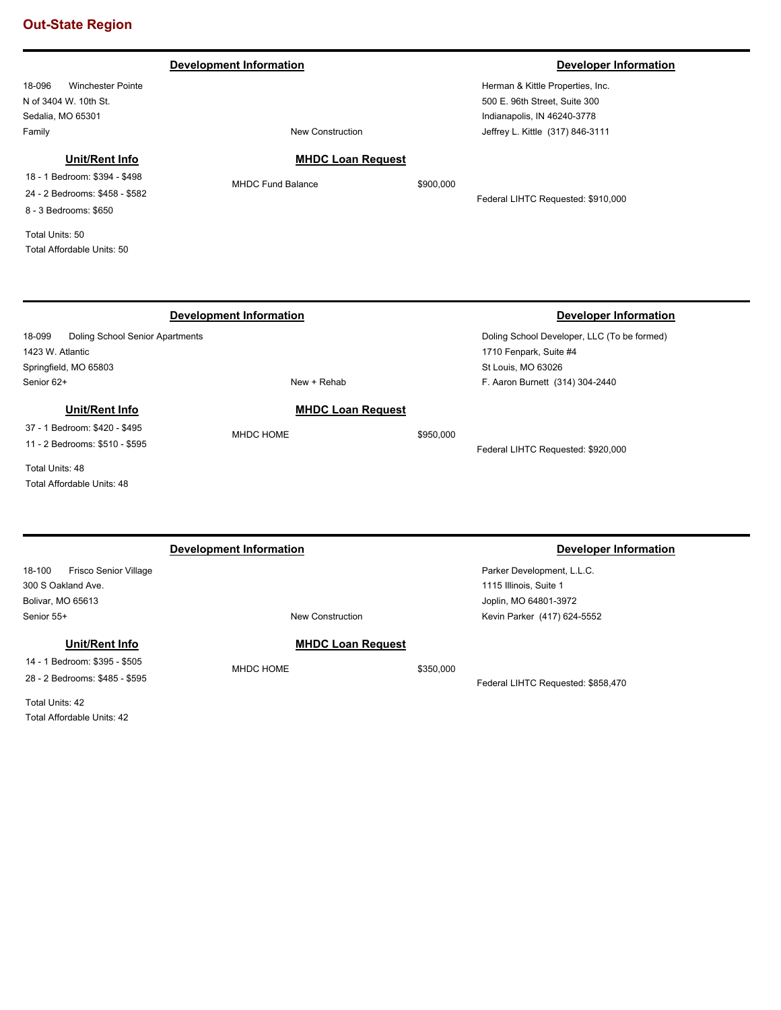**Development Information Developer Information** 

18-096 Winchester Pointe N of 3404 W. 10th St. Sedalia, MO 65301 Family **Family Family New Construction** 

Herman & Kittle Properties, Inc. 500 E. 96th Street, Suite 300 Indianapolis, IN 46240-3778 Jeffrey L. Kittle (317) 846-3111

# **Unit/Rent Info**

18 - 1 Bedroom: \$394 - \$498 24 - 2 Bedrooms: \$458 - \$582 8 - 3 Bedrooms: \$650

Total Units: 50 Total Affordable Units: 50

# **MHDC Loan Request**

MHDC Fund Balance \$900,000

Federal LIHTC Requested: \$910,000

### 18-099 Doling School Senior Apartments 1423 W. Atlantic Springfield, MO 65803 Doling School Developer, LLC (To be formed) 1710 Fenpark, Suite #4 St Louis, MO 63026 Senior 62+ New + Rehab **Development Information Developer Information** F. Aaron Burnett (314) 304-2440 **MHDC Loan Request** MHDC HOME \$950,000 Federal LIHTC Requested: \$920,000 **Unit/Rent Info** 37 - 1 Bedroom: \$420 - \$495 11 - 2 Bedrooms: \$510 - \$595 Total Units: 48 Total Affordable Units: 48 18-100 Frisco Senior Village 300 S Oakland Ave. Bolivar, MO 65613 Parker Development, L.L.C. 1115 Illinois, Suite 1 Joplin, MO 64801-3972 Senior 55+ New Construction **Development Information Developer Information** Kevin Parker (417) 624-5552 **MHDC Loan Request** MHDC HOME \$350,000 Federal LIHTC Requested: \$858,470 **Unit/Rent Info** 14 - 1 Bedroom: \$395 - \$505 28 - 2 Bedrooms: \$485 - \$595 Total Units: 42

Total Affordable Units: 42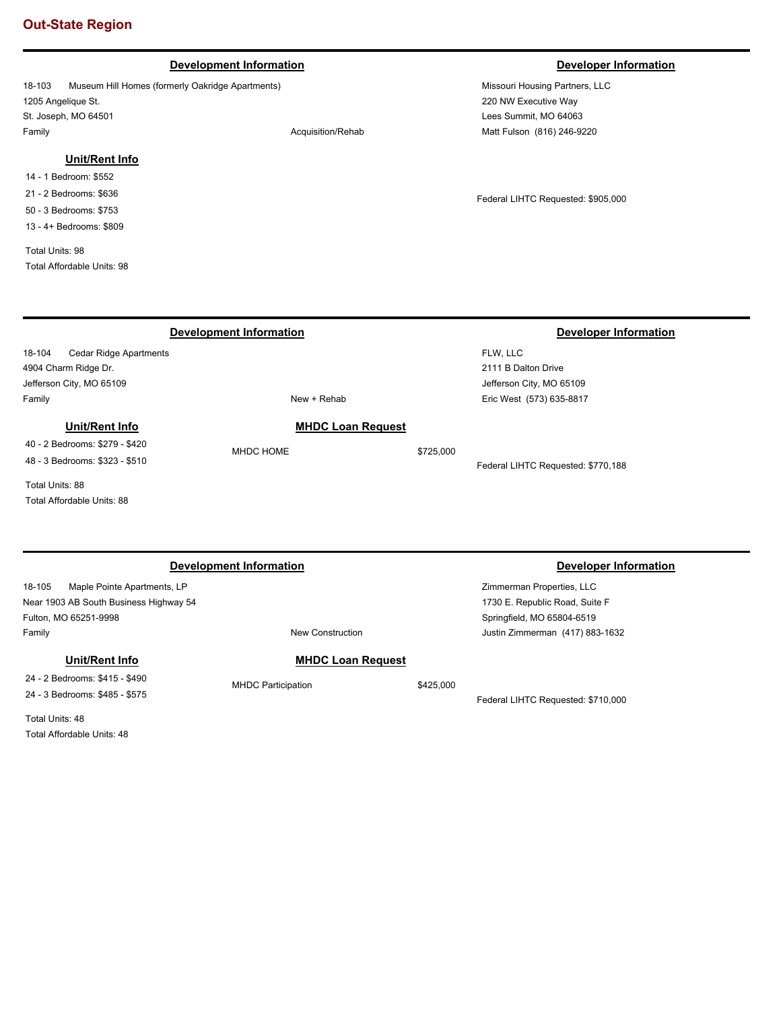## **Development Information Developer Information**

18-103 Museum Hill Homes (formerly Oakridge Apartments) 1205 Angelique St. St. Joseph, MO 64501 Family **Family Acquisition/Rehab** 

## **Unit/Rent Info**

14 - 1 Bedroom: \$552 21 - 2 Bedrooms: \$636

50 - 3 Bedrooms: \$753

13 - 4+ Bedrooms: \$809

Total Units: 98 Total Affordable Units: 98

Missouri Housing Partners, LLC 220 NW Executive Way Lees Summit, MO 64063 Matt Fulson (816) 246-9220

Federal LIHTC Requested: \$905,000

18-104 Cedar Ridge Apartments 4904 Charm Ridge Dr. Jefferson City, MO 65109 FLW, LLC 2111 B Dalton Drive Jefferson City, MO 65109 Family **New + Rehab Development Information Developer Information** Eric West (573) 635-8817 **MHDC Loan Request** MHDC HOME \$725,000 Federal LIHTC Requested: \$770,188 **Unit/Rent Info** 40 - 2 Bedrooms: \$279 - \$420 48 - 3 Bedrooms: \$323 - \$510 Total Units: 88 Total Affordable Units: 88

### **Development Information Developer Information**

18-105 Maple Pointe Apartments, LP Near 1903 AB South Business Highway 54 Fulton, MO 65251-9998 Family **Family New Construction** 

**Unit/Rent Info**

24 - 2 Bedrooms: \$415 - \$490 24 - 3 Bedrooms: \$485 - \$575

Total Units: 48 Total Affordable Units: 48

## **MHDC Loan Request**

MHDC Participation  $$425,000$ 

Federal LIHTC Requested: \$710,000

Justin Zimmerman (417) 883-1632

Zimmerman Properties, LLC 1730 E. Republic Road, Suite F Springfield, MO 65804-6519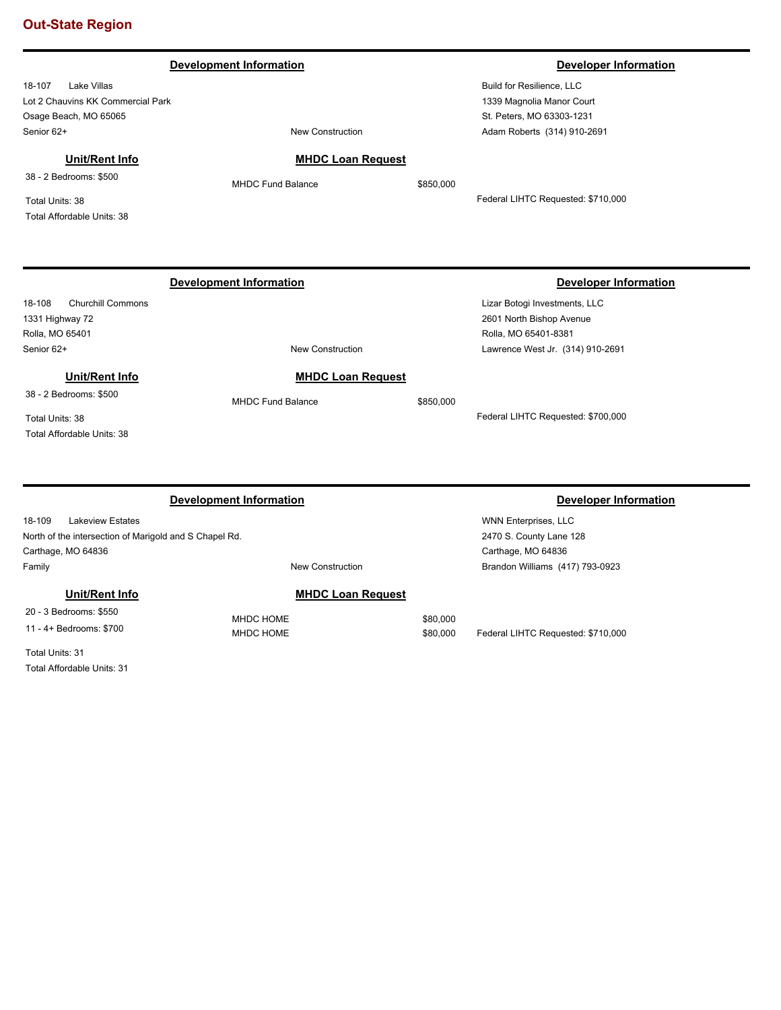|                                   | <b>Development Information</b> |           | <b>Developer Information</b>       |
|-----------------------------------|--------------------------------|-----------|------------------------------------|
| 18-107<br>Lake Villas             |                                |           | Build for Resilience, LLC          |
| Lot 2 Chauvins KK Commercial Park |                                |           | 1339 Magnolia Manor Court          |
| Osage Beach, MO 65065             |                                |           | St. Peters, MO 63303-1231          |
| Senior 62+                        | <b>New Construction</b>        |           | Adam Roberts (314) 910-2691        |
| Unit/Rent Info                    | <b>MHDC Loan Request</b>       |           |                                    |
| 38 - 2 Bedrooms: \$500            | MHDC Fund Balance              | \$850,000 |                                    |
| Total Units: 38                   |                                |           | Federal LIHTC Requested: \$710,000 |
| Total Affordable Units: 38        |                                |           |                                    |
|                                   |                                |           |                                    |
|                                   | <b>Development Information</b> |           | <b>Developer Information</b>       |
| Churchill Commons<br>18-108       |                                |           | Lizar Botogi Investments, LLC      |
| 1331 Highway 72                   |                                |           | 2601 North Bishop Avenue           |
| Rolla, MO 65401                   |                                |           | Rolla, MO 65401-8381               |
| Senior 62+                        | <b>New Construction</b>        |           | Lawrence West Jr. (314) 910-2691   |
| Unit/Rent Info                    | <b>MHDC Loan Request</b>       |           |                                    |
| 38 - 2 Bedrooms: \$500            | <b>MHDC Fund Balance</b>       | \$850,000 |                                    |
| Total Units: 38                   |                                |           | Federal LIHTC Requested: \$700,000 |
| Total Affordable Units: 38        |                                |           |                                    |
|                                   |                                |           |                                    |
|                                   |                                |           |                                    |
|                                   | <b>Development Information</b> |           | <b>Developer Information</b>       |

| 18-109<br><b>Lakeview Estates</b>                                                 |                          | <b>WNN Enterprises, LLC</b>     |
|-----------------------------------------------------------------------------------|--------------------------|---------------------------------|
| 2470 S. County Lane 128<br>North of the intersection of Marigold and S Chapel Rd. |                          |                                 |
| Carthage, MO 64836                                                                |                          | Carthage, MO 64836              |
| Family                                                                            | New Construction         | Brandon Williams (417) 793-0923 |
| Unit/Rent Info                                                                    | <b>MHDC Loan Request</b> |                                 |
| 20 - 3 Bedrooms: \$550                                                            | MHDC HOME                | \$80,000                        |

MHDC HOME  $$80,000$  Federal LIHTC Requested: \$710,000

20 - 3 Bedrooms: \$550 11 - 4+ Bedrooms: \$700

Total Units: 31 Total Affordable Units: 31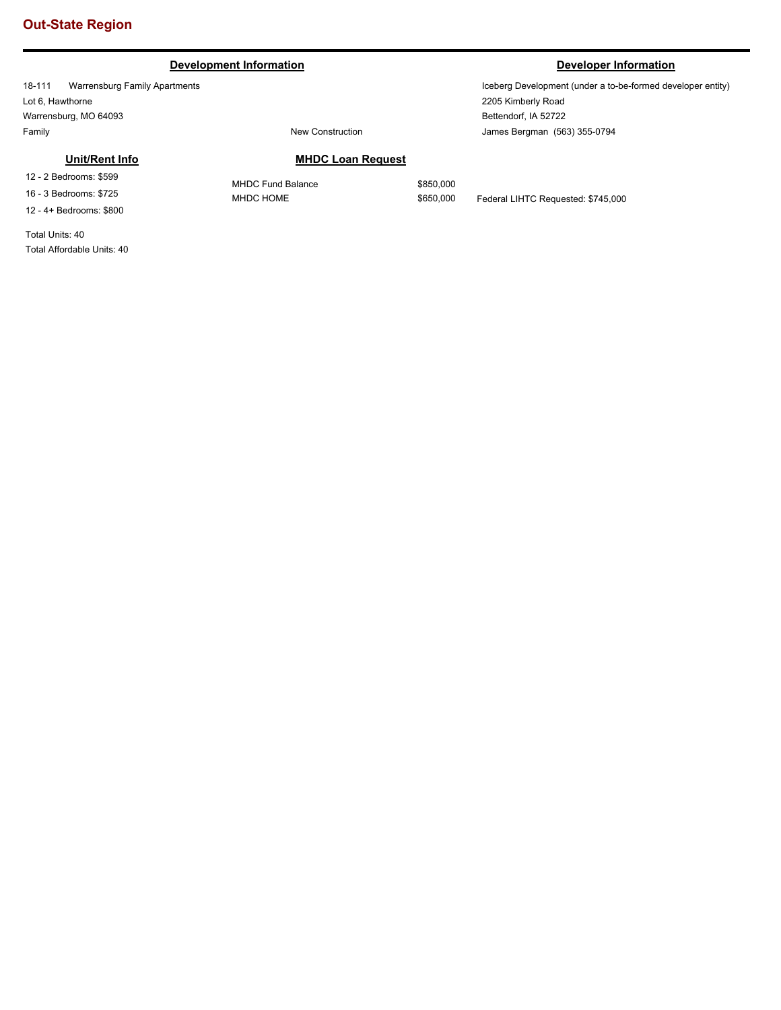# **Development Information Developer Information**

18-111 Warrensburg Family Apartments Lot 6, Hawthorne Warrensburg, MO 64093 Family **Family New Construction** 

# **Unit/Rent Info**

12 - 2 Bedrooms: \$599 16 - 3 Bedrooms: \$725 12 - 4+ Bedrooms: \$800

Total Units: 40 Total Affordable Units: 40

Iceberg Development (under a to-be-formed developer entity) 2205 Kimberly Road Bettendorf, IA 52722 James Bergman (563) 355-0794

# **MHDC Loan Request**

MHDC Fund Balance \$850,000

MHDC HOME \$650,000 Federal LIHTC Requested: \$745,000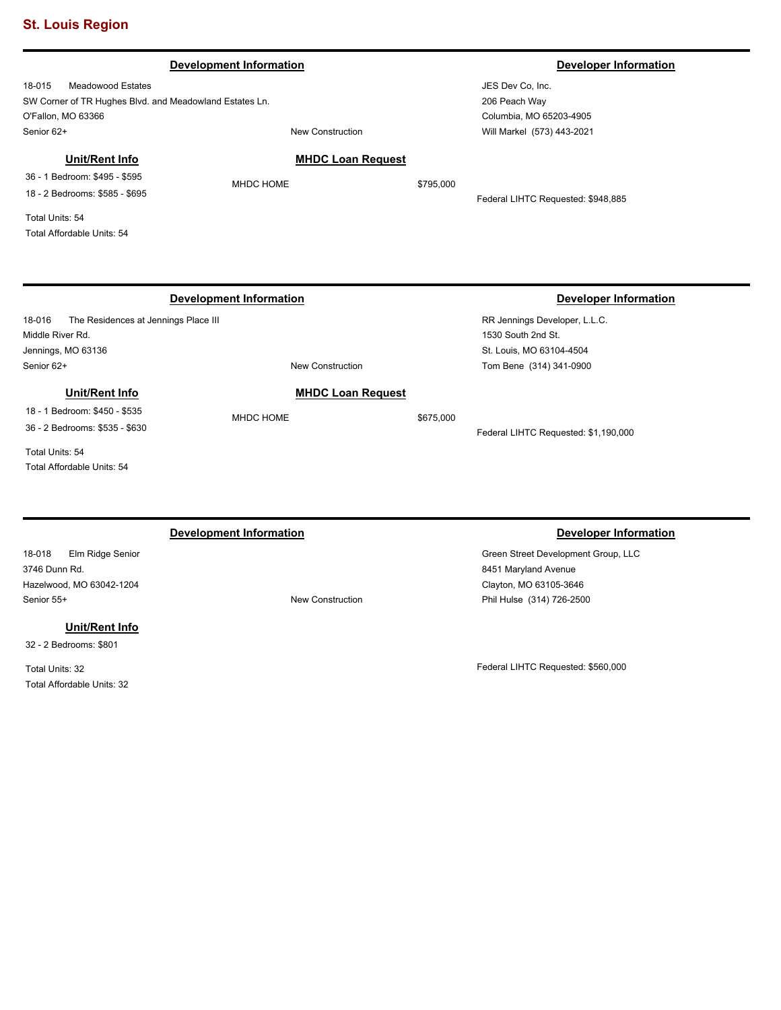18-015 Meadowood Estates SW Corner of TR Hughes Blvd. and Meadowland Estates Ln. O'Fallon, MO 63366 Senior 62+ New Construction

### **MHDC Loan Request**

36 - 1 Bedroom: \$495 - \$595 18 - 2 Bedrooms: \$585 - \$695

**Unit/Rent Info**

Total Units: 54 Total Affordable Units: 54

18-016 The Residences at Jennings Place III Middle River Rd. Jennings, MO 63136 RR Jennings Developer, L.L.C. 1530 South 2nd St. St. Louis, MO 63104-4504 Senior 62+ New Construction **Development Information Developer Information** Tom Bene (314) 341-0900 **MHDC Loan Request** MHDC HOME \$675,000 Federal LIHTC Requested: \$1,190,000 **Unit/Rent Info** 18 - 1 Bedroom: \$450 - \$535 36 - 2 Bedrooms: \$535 - \$630 Total Units: 54 Total Affordable Units: 54

# **Development Information Developer Information**

18-018 Elm Ridge Senior 3746 Dunn Rd. Hazelwood, MO 63042-1204 Senior 55+ New Construction

**Unit/Rent Info**

32 - 2 Bedrooms: \$801

Total Units: 32 Total Affordable Units: 32

Green Street Development Group, LLC 8451 Maryland Avenue Clayton, MO 63105-3646 Phil Hulse (314) 726-2500

Federal LIHTC Requested: \$560,000

### **Development Information Developer Information**

JES Dev Co, Inc. 206 Peach Way Columbia, MO 65203-4905 Will Markel (573) 443-2021

MHDC HOME \$795,000

Federal LIHTC Requested: \$948,885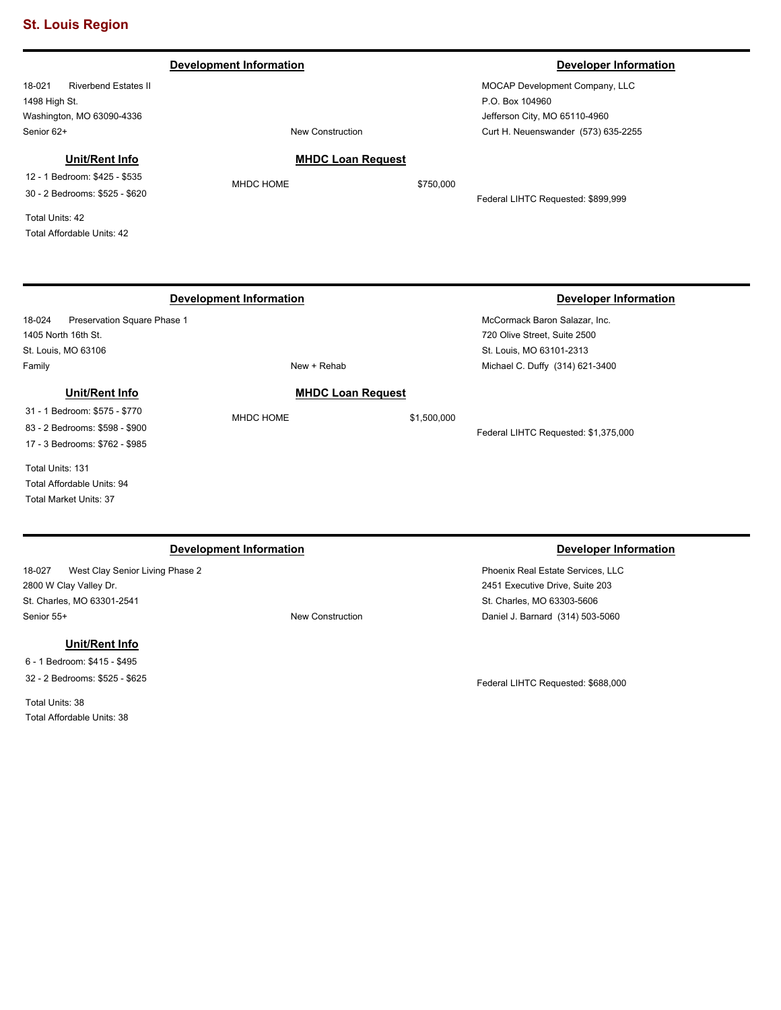### **Development Information Developer Information**

18-021 Riverbend Estates II 1498 High St. Washington, MO 63090-4336 Senior 62+ New Construction

MOCAP Development Company, LLC P.O. Box 104960 Jefferson City, MO 65110-4960 Curt H. Neuenswander (573) 635-2255

## **Unit/Rent Info**

12 - 1 Bedroom: \$425 - \$535 30 - 2 Bedrooms: \$525 - \$620

Total Units: 42 Total Affordable Units: 42

# 18-024 Preservation Square Phase 1 **Development Information Developer Information**

1405 North 16th St. St. Louis, MO 63106 Family **New + Rehab** 

# **Unit/Rent Info**

31 - 1 Bedroom: \$575 - \$770 83 - 2 Bedrooms: \$598 - \$900 17 - 3 Bedrooms: \$762 - \$985

Total Units: 131 Total Affordable Units: 94 Total Market Units: 37

18-027 West Clay Senior Living Phase 2 2800 W Clay Valley Dr. St. Charles, MO 63301-2541 Senior 55+ New Construction

### **Unit/Rent Info**

6 - 1 Bedroom: \$415 - \$495 32 - 2 Bedrooms: \$525 - \$625

Total Units: 38 Total Affordable Units: 38

# **MHDC Loan Request**

**MHDC Loan Request** MHDC HOME \$1,500,000

MHDC HOME \$750,000

Federal LIHTC Requested: \$899,999

McCormack Baron Salazar, Inc. 720 Olive Street, Suite 2500 St. Louis, MO 63101-2313 Michael C. Duffy (314) 621-3400

Federal LIHTC Requested: \$1,375,000

### **Development Information Developer Information Developer Information**

Phoenix Real Estate Services, LLC 2451 Executive Drive, Suite 203 St. Charles, MO 63303-5606 Daniel J. Barnard (314) 503-5060

Federal LIHTC Requested: \$688,000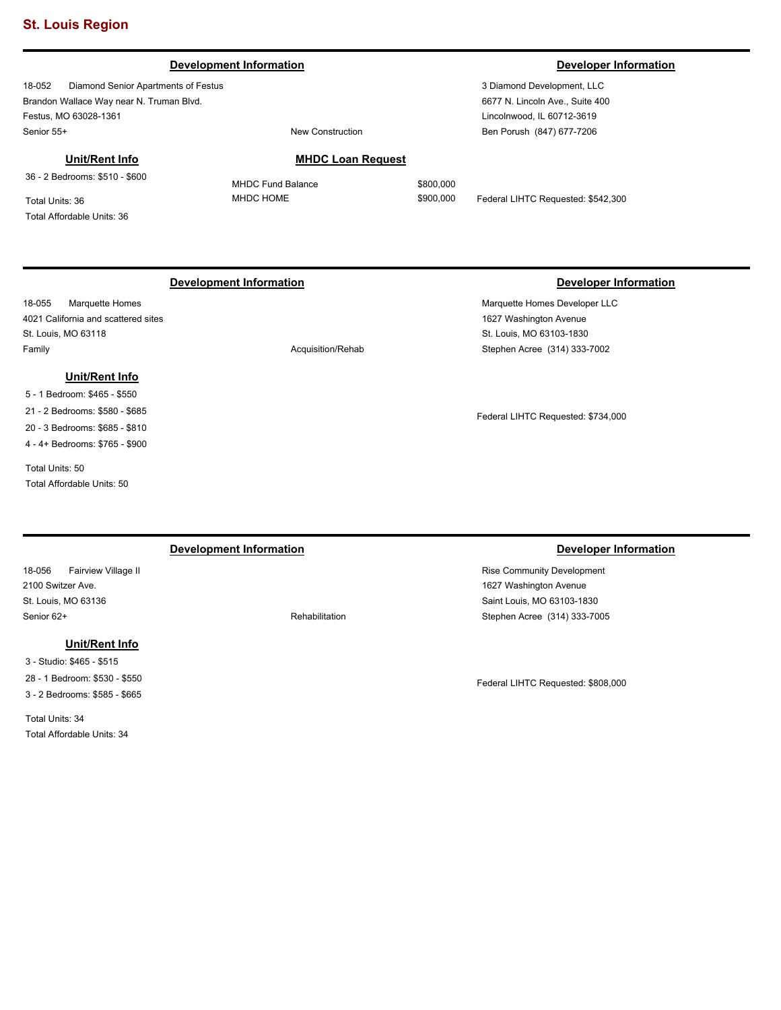### **Development Information Developer Information**

18-052 Diamond Senior Apartments of Festus Brandon Wallace Way near N. Truman Blvd. Festus, MO 63028-1361 Senior 55+ New Construction

### **Unit/Rent Info**

36 - 2 Bedrooms: \$510 - \$600

Total Units: 36 Total Affordable Units: 36

### **MHDC Loan Request**

MHDC Fund Balance \$800,000

MHDC HOME  $$900,000$  Federal LIHTC Requested: \$542,300

18-055 Marquette Homes 4021 California and scattered sites St. Louis, MO 63118 Family **Acquisition/Rehab Acquisition/Rehab** 

# **Unit/Rent Info**

5 - 1 Bedroom: \$465 - \$550 21 - 2 Bedrooms: \$580 - \$685 20 - 3 Bedrooms: \$685 - \$810 4 - 4+ Bedrooms: \$765 - \$900

Total Units: 50 Total Affordable Units: 50

18-056 Fairview Village II 2100 Switzer Ave. St. Louis, MO 63136 Senior 62+ Rehabilitation

### **Unit/Rent Info**

3 - Studio: \$465 - \$515 28 - 1 Bedroom: \$530 - \$550 3 - 2 Bedrooms: \$585 - \$665

Total Units: 34 Total Affordable Units: 34

# **Development Information Developer Information**

Marquette Homes Developer LLC 1627 Washington Avenue St. Louis, MO 63103-1830 Stephen Acree (314) 333-7002

Federal LIHTC Requested: \$734,000

# **Development Information Developer Information Developer Information**

Rise Community Development 1627 Washington Avenue Saint Louis, MO 63103-1830 Stephen Acree (314) 333-7005

Federal LIHTC Requested: \$808,000

3 Diamond Development, LLC

6677 N. Lincoln Ave., Suite 400 Lincolnwood, IL 60712-3619 Ben Porush (847) 677-7206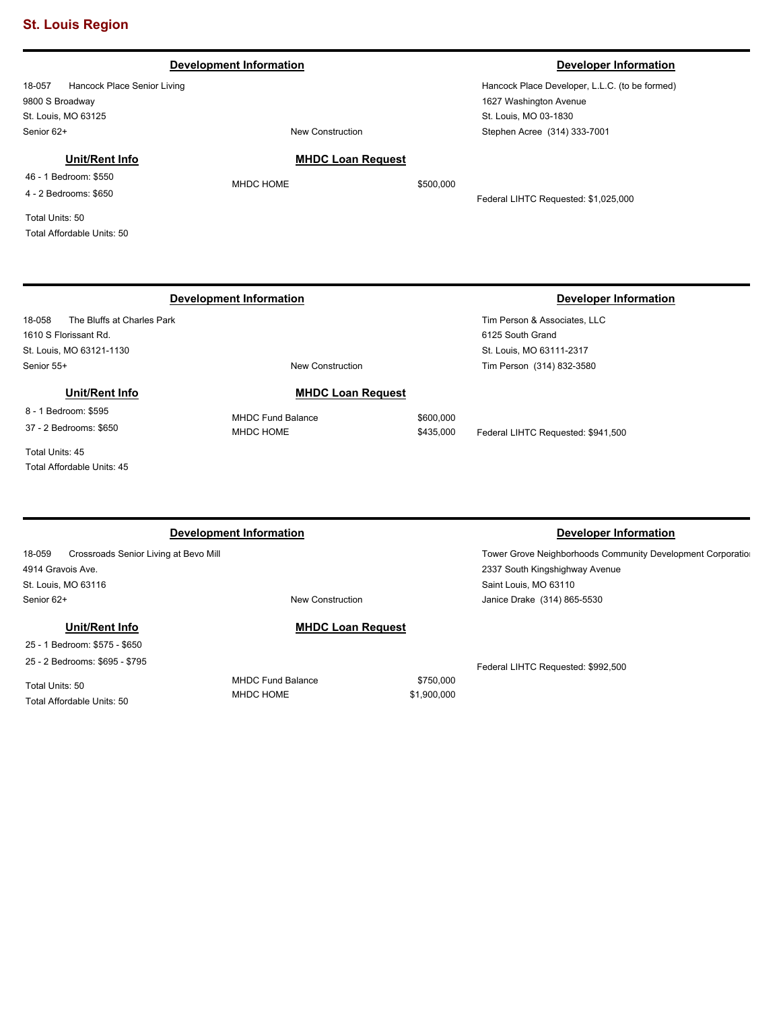# **Development Information Developer Information**

18-057 Hancock Place Senior Living 9800 S Broadway St. Louis, MO 63125 Senior 62+ New Construction

### **Unit/Rent Info**

46 - 1 Bedroom: \$550 4 - 2 Bedrooms: \$650

Total Units: 50 Total Affordable Units: 50

18-058 The Bluffs at Charles Park 1610 S Florissant Rd. St. Louis, MO 63121-1130 Senior 55+ New Construction

**Unit/Rent Info**

8 - 1 Bedroom: \$595

37 - 2 Bedrooms: \$650

Total Units: 45 Total Affordable Units: 45

**Development Information Developer Information** 

18-059 Crossroads Senior Living at Bevo Mill 4914 Gravois Ave. St. Louis, MO 63116 Senior 62+ New Construction

25 - 1 Bedroom: \$575 - \$650 25 - 2 Bedrooms: \$695 - \$795

**Unit/Rent Info**

Total Units: 50 Total Affordable Units: 50 MHDC Fund Balance \$750,000 MHDC HOME \$1,900,000

**MHDC Loan Request**

Hancock Place Developer, L.L.C. (to be formed) 1627 Washington Avenue St. Louis, MO 03-1830 Stephen Acree (314) 333-7001

Federal LIHTC Requested: \$1,025,000

# **Development Information Developer Information**

Tower Grove Neighborhoods Community Development Corporation

Tim Person & Associates, LLC 6125 South Grand St. Louis, MO 63111-2317 Tim Person (314) 832-3580

MHDC Fund Balance \$600,000 MHDC HOME  $$435,000$  Federal LIHTC Requested: \$941,500

Federal LIHTC Requested: \$992,500

2337 South Kingshighway Avenue

Janice Drake (314) 865-5530

Saint Louis, MO 63110

MHDC HOME \$500,000

**MHDC Loan Request**

**MHDC Loan Request**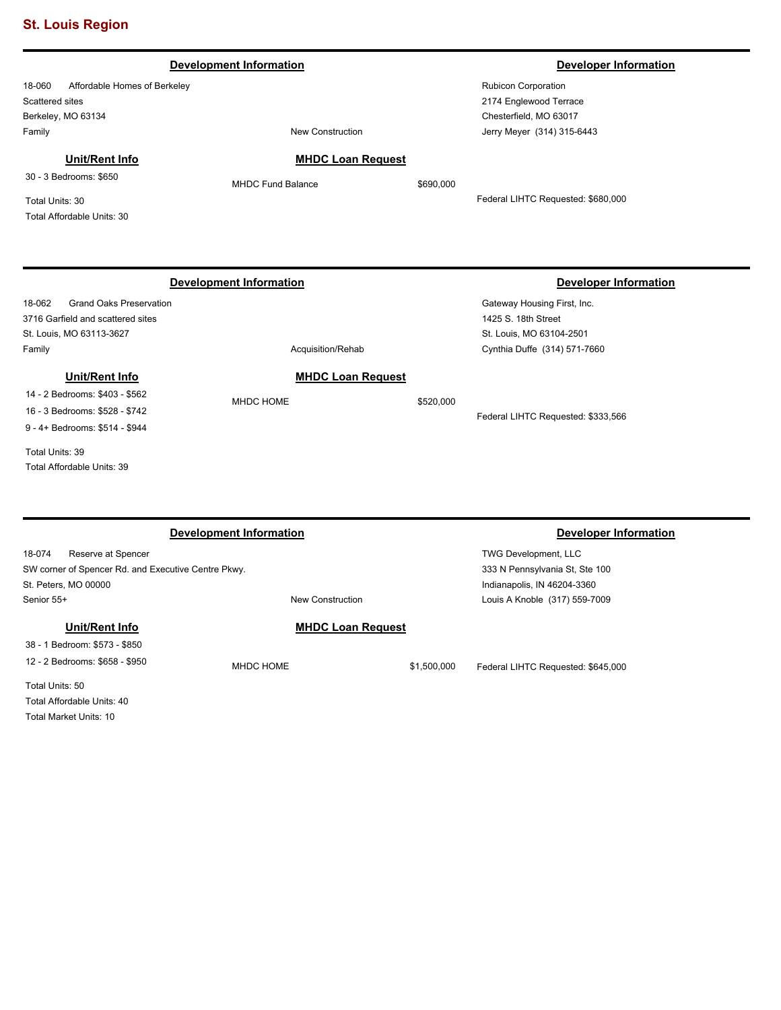|                                                                                                                       | <b>Development Information</b> |           | <b>Developer Information</b>       |
|-----------------------------------------------------------------------------------------------------------------------|--------------------------------|-----------|------------------------------------|
| Affordable Homes of Berkeley<br>18-060                                                                                |                                |           | Rubicon Corporation                |
| Scattered sites                                                                                                       |                                |           | 2174 Englewood Terrace             |
| Berkeley, MO 63134                                                                                                    |                                |           | Chesterfield, MO 63017             |
| Family                                                                                                                | <b>New Construction</b>        |           | Jerry Meyer (314) 315-6443         |
| Unit/Rent Info                                                                                                        | <b>MHDC Loan Request</b>       |           |                                    |
| 30 - 3 Bedrooms: \$650                                                                                                | <b>MHDC Fund Balance</b>       | \$690,000 |                                    |
| Total Units: 30                                                                                                       |                                |           | Federal LIHTC Requested: \$680,000 |
| Total Affordable Units: 30                                                                                            |                                |           |                                    |
|                                                                                                                       |                                |           |                                    |
|                                                                                                                       |                                |           |                                    |
|                                                                                                                       | <b>Development Information</b> |           | <b>Developer Information</b>       |
| <b>Grand Oaks Preservation</b><br>18-062                                                                              |                                |           | Gateway Housing First, Inc.        |
| 3716 Garfield and scattered sites                                                                                     |                                |           | 1425 S. 18th Street                |
| St. Louis, MO 63113-3627                                                                                              |                                |           | St. Louis, MO 63104-2501           |
| Family                                                                                                                | Acquisition/Rehab              |           | Cynthia Duffe (314) 571-7660       |
| Unit/Rent Info                                                                                                        | <b>MHDC Loan Request</b>       |           |                                    |
|                                                                                                                       |                                |           |                                    |
|                                                                                                                       | MHDC HOME                      |           |                                    |
|                                                                                                                       |                                | \$520,000 | Federal LIHTC Requested: \$333,566 |
|                                                                                                                       |                                |           |                                    |
| 14 - 2 Bedrooms: \$403 - \$562<br>16 - 3 Bedrooms: \$528 - \$742<br>9 - 4+ Bedrooms: \$514 - \$944<br>Total Units: 39 |                                |           |                                    |

18-074 Reserve at Spencer SW corner of Spencer Rd. and Executive Centre Pkwy. St. Peters, MO 00000 Senior 55+ New Construction

**Unit/Rent Info** 38 - 1 Bedroom: \$573 - \$850 12 - 2 Bedrooms: \$658 - \$950

Total Units: 50 Total Affordable Units: 40 Total Market Units: 10

**MHDC Loan Request**

MHDC HOME  $$1,500,000$  Federal LIHTC Requested: \$645,000

TWG Development, LLC 333 N Pennsylvania St, Ste 100 Indianapolis, IN 46204-3360

Louis A Knoble (317) 559-7009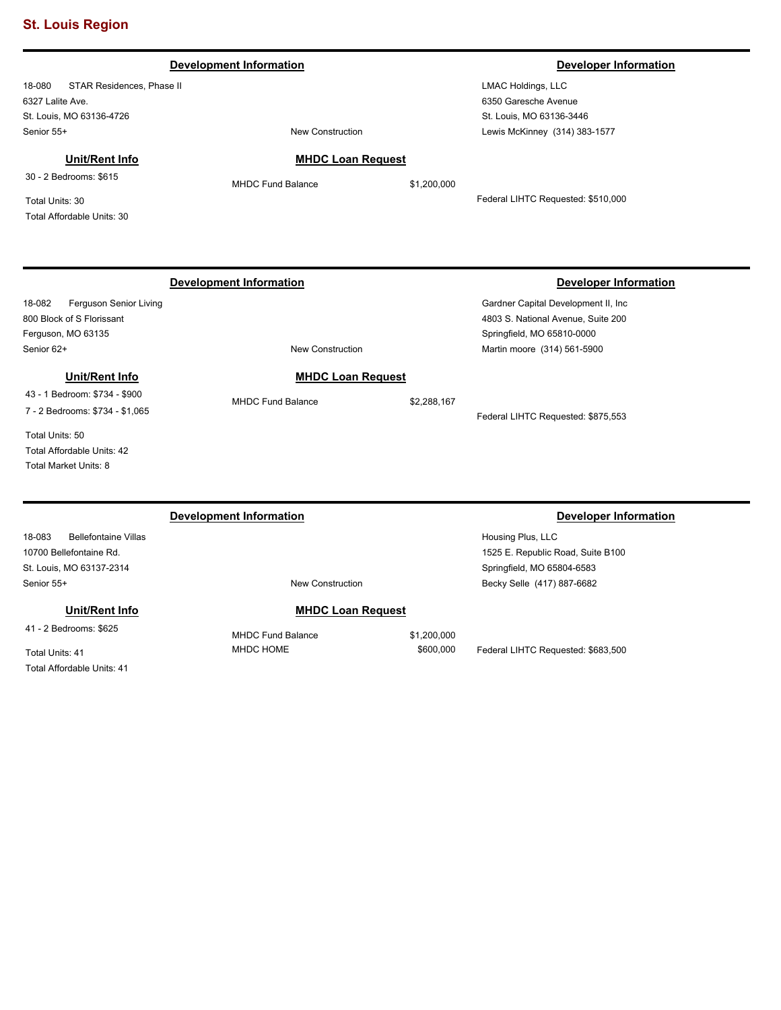| <b>Development Information</b>                                                      |                                |             | <b>Developer Information</b>                                                                                                             |  |
|-------------------------------------------------------------------------------------|--------------------------------|-------------|------------------------------------------------------------------------------------------------------------------------------------------|--|
| 18-080<br>STAR Residences, Phase II                                                 |                                |             | <b>LMAC Holdings, LLC</b>                                                                                                                |  |
| 6327 Lalite Ave.                                                                    |                                |             | 6350 Garesche Avenue                                                                                                                     |  |
| St. Louis, MO 63136-4726                                                            |                                |             | St. Louis, MO 63136-3446                                                                                                                 |  |
| Senior 55+                                                                          | <b>New Construction</b>        |             | Lewis McKinney (314) 383-1577                                                                                                            |  |
| Unit/Rent Info                                                                      | <b>MHDC Loan Request</b>       |             |                                                                                                                                          |  |
| 30 - 2 Bedrooms: \$615                                                              | <b>MHDC Fund Balance</b>       | \$1,200,000 |                                                                                                                                          |  |
| Total Units: 30<br>Total Affordable Units: 30                                       |                                |             | Federal LIHTC Requested: \$510,000                                                                                                       |  |
| Ferguson Senior Living<br>18-082<br>800 Block of S Florissant<br>Ferguson, MO 63135 | <b>Development Information</b> |             | <b>Developer Information</b><br>Gardner Capital Development II, Inc.<br>4803 S. National Avenue, Suite 200<br>Springfield, MO 65810-0000 |  |
| Senior 62+                                                                          | <b>New Construction</b>        |             | Martin moore (314) 561-5900                                                                                                              |  |
| Unit/Rent Info                                                                      | <b>MHDC Loan Request</b>       |             |                                                                                                                                          |  |
| 43 - 1 Bedroom: \$734 - \$900<br>7 - 2 Bedrooms: \$734 - \$1,065                    | <b>MHDC Fund Balance</b>       | \$2,288,167 | Federal LIHTC Requested: \$875,553                                                                                                       |  |
| Total Units: 50<br>Total Affordable Units: 42<br>Total Market Units: 8              |                                |             |                                                                                                                                          |  |
|                                                                                     | <b>Development Information</b> |             | <b>Developer Information</b>                                                                                                             |  |

18-083 Bellefontaine Villas 10700 Bellefontaine Rd. St. Louis, MO 63137-2314 Senior 55+ New Construction

**Unit/Rent Info**

41 - 2 Bedrooms: \$625

Total Units: 41 Total Affordable Units: 41

# **MHDC Loan Request**

MHDC Fund Balance \$1,200,000 MHDC HOME \$600,000 Federal LIHTC Requested: \$683,500

Housing Plus, LLC 1525 E. Republic Road, Suite B100 Springfield, MO 65804-6583 Becky Selle (417) 887-6682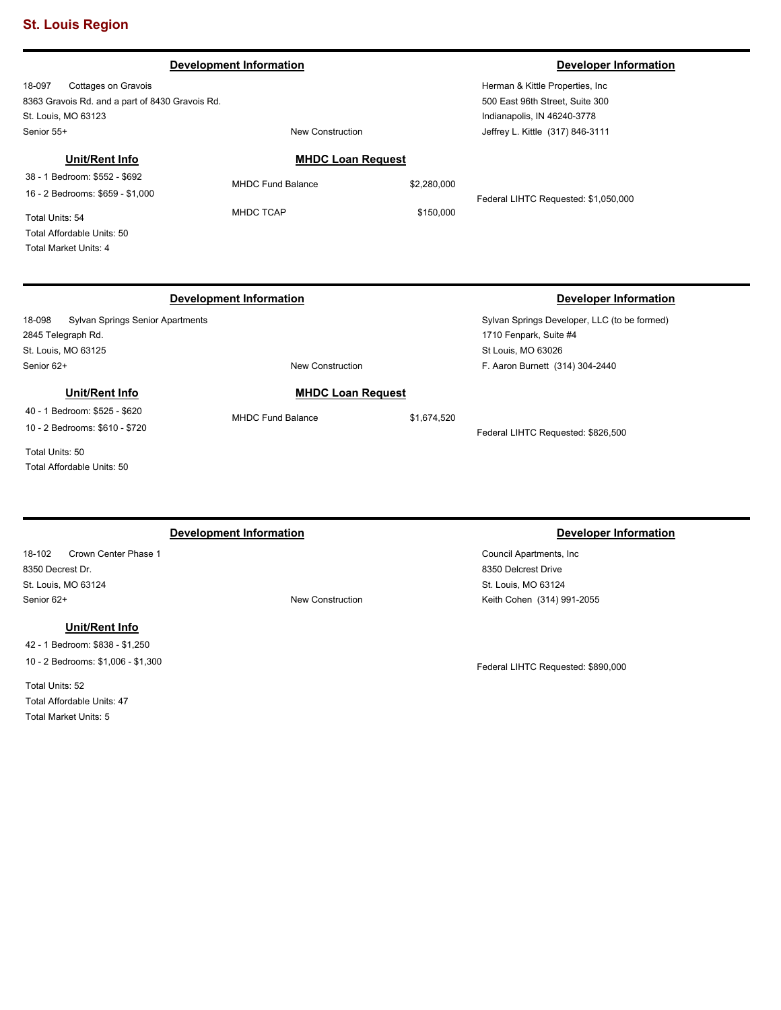### 18-097 Cottages on Gravois 8363 Gravois Rd. and a part of 8430 Gravois Rd. St. Louis, MO 63123 Herman & Kittle Properties, Inc 500 East 96th Street, Suite 300 Indianapolis, IN 46240-3778 Senior 55+ New Construction **Development Information Developer Information** Jeffrey L. Kittle (317) 846-3111 **MHDC Loan Request** MHDC Fund Balance \$2,280,000 MHDC TCAP \$150,000 Federal LIHTC Requested: \$1,050,000 **Unit/Rent Info** 38 - 1 Bedroom: \$552 - \$692 16 - 2 Bedrooms: \$659 - \$1,000 Total Units: 54 Total Affordable Units: 50 Total Market Units: 4 **Development Information Developer Information**

**MHDC Loan Request** MHDC Fund Balance \$1,674,520

# 18-098 Sylvan Springs Senior Apartments 2845 Telegraph Rd. St. Louis, MO 63125 Senior 62+ New Construction

# **Unit/Rent Info**

40 - 1 Bedroom: \$525 - \$620 10 - 2 Bedrooms: \$610 - \$720

Total Units: 50 Total Affordable Units: 50

# **Development Information Developer Information**

18-102 Crown Center Phase 1 8350 Decrest Dr. St. Louis, MO 63124 Senior 62+ New Construction

# **Unit/Rent Info**

42 - 1 Bedroom: \$838 - \$1,250 10 - 2 Bedrooms: \$1,006 - \$1,300

Total Units: 52 Total Affordable Units: 47 Total Market Units: 5

Sylvan Springs Developer, LLC (to be formed)

1710 Fenpark, Suite #4 St Louis, MO 63026

F. Aaron Burnett (314) 304-2440

Federal LIHTC Requested: \$826,500

Council Apartments, Inc 8350 Delcrest Drive St. Louis, MO 63124 Keith Cohen (314) 991-2055

Federal LIHTC Requested: \$890,000